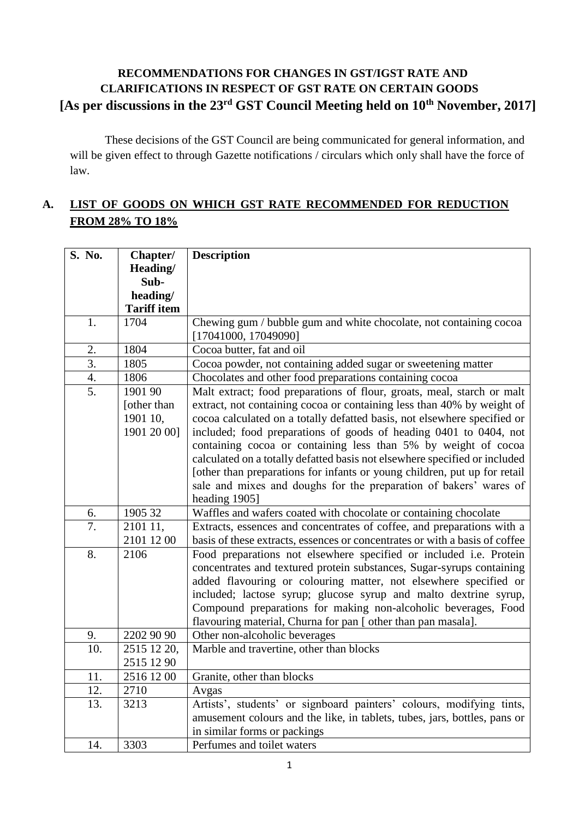## **RECOMMENDATIONS FOR CHANGES IN GST/IGST RATE AND CLARIFICATIONS IN RESPECT OF GST RATE ON CERTAIN GOODS [As per discussions in the 23rd GST Council Meeting held on 10th November, 2017]**

These decisions of the GST Council are being communicated for general information, and will be given effect to through Gazette notifications / circulars which only shall have the force of law.

# **A. LIST OF GOODS ON WHICH GST RATE RECOMMENDED FOR REDUCTION FROM 28% TO 18%**

| S. No.           | Chapter/           | <b>Description</b>                                                          |
|------------------|--------------------|-----------------------------------------------------------------------------|
|                  | Heading/           |                                                                             |
|                  | Sub-               |                                                                             |
|                  | heading/           |                                                                             |
|                  | <b>Tariff item</b> |                                                                             |
| 1.               | 1704               | Chewing gum / bubble gum and white chocolate, not containing cocoa          |
|                  |                    | [17041000, 17049090]                                                        |
| 2.               | 1804               | Cocoa butter, fat and oil                                                   |
| $\overline{3}$ . | 1805               | Cocoa powder, not containing added sugar or sweetening matter               |
| 4.               | 1806               | Chocolates and other food preparations containing cocoa                     |
| $\overline{5}$ . | 1901 90            | Malt extract; food preparations of flour, groats, meal, starch or malt      |
|                  | [other than        | extract, not containing cocoa or containing less than 40% by weight of      |
|                  | 1901 10,           | cocoa calculated on a totally defatted basis, not elsewhere specified or    |
|                  | 1901 20 00]        | included; food preparations of goods of heading 0401 to 0404, not           |
|                  |                    | containing cocoa or containing less than 5% by weight of cocoa              |
|                  |                    | calculated on a totally defatted basis not elsewhere specified or included  |
|                  |                    | [other than preparations for infants or young children, put up for retail   |
|                  |                    | sale and mixes and doughs for the preparation of bakers' wares of           |
|                  |                    | heading 1905]                                                               |
| 6.               | 1905 32            | Waffles and wafers coated with chocolate or containing chocolate            |
| 7.               | 2101 11,           | Extracts, essences and concentrates of coffee, and preparations with a      |
|                  | 2101 12 00         | basis of these extracts, essences or concentrates or with a basis of coffee |
| 8.               | 2106               | Food preparations not elsewhere specified or included i.e. Protein          |
|                  |                    | concentrates and textured protein substances, Sugar-syrups containing       |
|                  |                    | added flavouring or colouring matter, not elsewhere specified or            |
|                  |                    | included; lactose syrup; glucose syrup and malto dextrine syrup,            |
|                  |                    | Compound preparations for making non-alcoholic beverages, Food              |
|                  |                    | flavouring material, Churna for pan [ other than pan masala].               |
| 9.               | 2202 90 90         | Other non-alcoholic beverages                                               |
| 10.              | 2515 12 20,        | Marble and travertine, other than blocks                                    |
|                  | 2515 12 90         |                                                                             |
| 11.              | 2516 12 00         | Granite, other than blocks                                                  |
| 12.              | 2710               | Avgas                                                                       |
| 13.              | 3213               | Artists', students' or signboard painters' colours, modifying tints,        |
|                  |                    | amusement colours and the like, in tablets, tubes, jars, bottles, pans or   |
|                  |                    | in similar forms or packings                                                |
| 14.              | 3303               | Perfumes and toilet waters                                                  |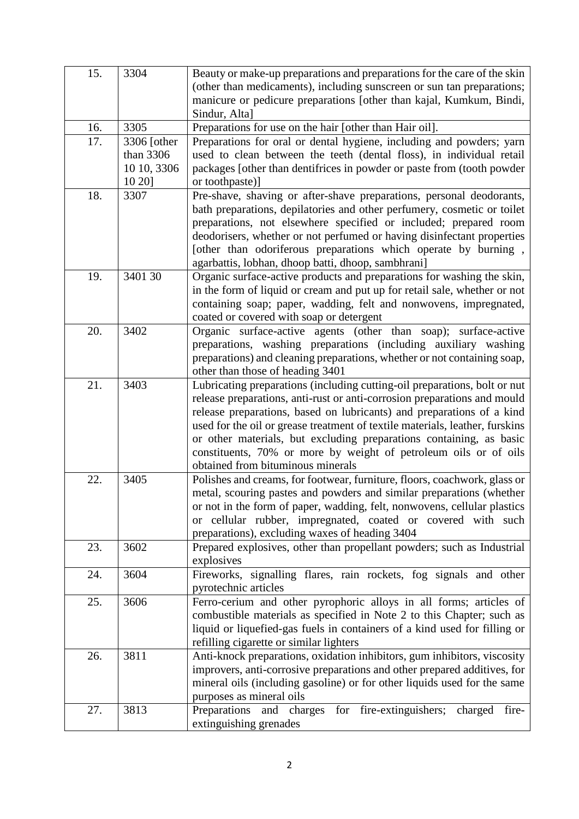| 15. | 3304         | Beauty or make-up preparations and preparations for the care of the skin     |
|-----|--------------|------------------------------------------------------------------------------|
|     |              | (other than medicaments), including sunscreen or sun tan preparations;       |
|     |              | manicure or pedicure preparations [other than kajal, Kumkum, Bindi,          |
|     |              | Sindur, Alta]                                                                |
| 16. | 3305         | Preparations for use on the hair [other than Hair oil].                      |
| 17. | 3306 [other] | Preparations for oral or dental hygiene, including and powders; yarn         |
|     | than 3306    | used to clean between the teeth (dental floss), in individual retail         |
|     | 10 10, 3306  | packages [other than dentifrices in powder or paste from (tooth powder       |
|     | 10 20]       | or toothpaste)]                                                              |
| 18. | 3307         | Pre-shave, shaving or after-shave preparations, personal deodorants,         |
|     |              | bath preparations, depilatories and other perfumery, cosmetic or toilet      |
|     |              | preparations, not elsewhere specified or included; prepared room             |
|     |              | deodorisers, whether or not perfumed or having disinfectant properties       |
|     |              | [other than odoriferous preparations which operate by burning,               |
|     |              | agarbattis, lobhan, dhoop batti, dhoop, sambhrani]                           |
| 19. | 3401 30      | Organic surface-active products and preparations for washing the skin,       |
|     |              | in the form of liquid or cream and put up for retail sale, whether or not    |
|     |              | containing soap; paper, wadding, felt and nonwovens, impregnated,            |
|     |              | coated or covered with soap or detergent                                     |
| 20. | 3402         | Organic surface-active agents (other than soap); surface-active              |
|     |              | preparations, washing preparations (including auxiliary washing              |
|     |              | preparations) and cleaning preparations, whether or not containing soap,     |
|     |              | other than those of heading 3401                                             |
| 21. | 3403         | Lubricating preparations (including cutting-oil preparations, bolt or nut    |
|     |              | release preparations, anti-rust or anti-corrosion preparations and mould     |
|     |              | release preparations, based on lubricants) and preparations of a kind        |
|     |              | used for the oil or grease treatment of textile materials, leather, furskins |
|     |              | or other materials, but excluding preparations containing, as basic          |
|     |              | constituents, 70% or more by weight of petroleum oils or of oils             |
|     |              | obtained from bituminous minerals                                            |
| 22. | 3405         | Polishes and creams, for footwear, furniture, floors, coachwork, glass or    |
|     |              | metal, scouring pastes and powders and similar preparations (whether         |
|     |              | or not in the form of paper, wadding, felt, nonwovens, cellular plastics     |
|     |              | or cellular rubber, impregnated, coated or covered with such                 |
|     |              | preparations), excluding waxes of heading 3404                               |
| 23. | 3602         | Prepared explosives, other than propellant powders; such as Industrial       |
|     |              | explosives                                                                   |
| 24. | 3604         | Fireworks, signalling flares, rain rockets, fog signals and other            |
|     |              | pyrotechnic articles                                                         |
| 25. | 3606         | Ferro-cerium and other pyrophoric alloys in all forms; articles of           |
|     |              | combustible materials as specified in Note 2 to this Chapter; such as        |
|     |              | liquid or liquefied-gas fuels in containers of a kind used for filling or    |
|     |              | refilling cigarette or similar lighters                                      |
| 26. | 3811         | Anti-knock preparations, oxidation inhibitors, gum inhibitors, viscosity     |
|     |              | improvers, anti-corrosive preparations and other prepared additives, for     |
|     |              | mineral oils (including gasoline) or for other liquids used for the same     |
|     |              | purposes as mineral oils                                                     |
| 27. | 3813         | Preparations and charges for fire-extinguishers; charged<br>fire-            |
|     |              | extinguishing grenades                                                       |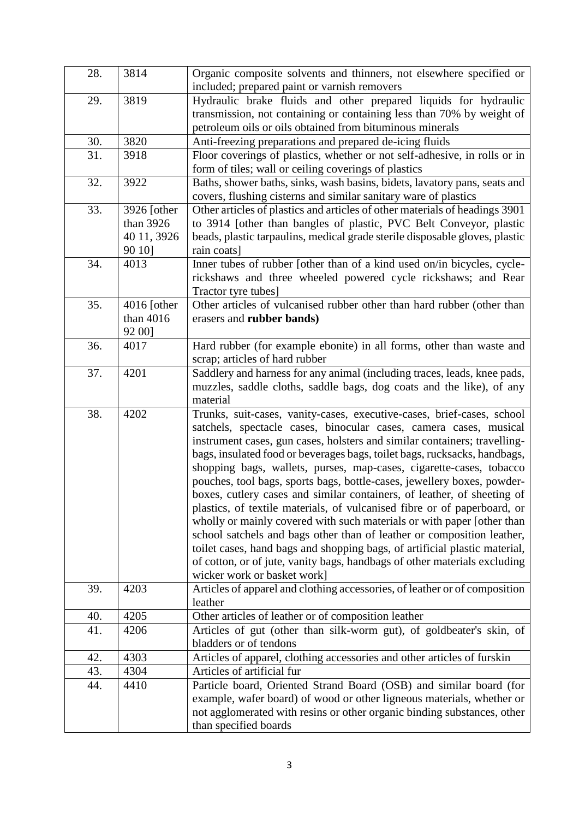| 28. | 3814        | Organic composite solvents and thinners, not elsewhere specified or<br>included; prepared paint or varnish removers                              |
|-----|-------------|--------------------------------------------------------------------------------------------------------------------------------------------------|
|     |             |                                                                                                                                                  |
| 29. | 3819        | Hydraulic brake fluids and other prepared liquids for hydraulic                                                                                  |
|     |             | transmission, not containing or containing less than 70% by weight of<br>petroleum oils or oils obtained from bituminous minerals                |
|     |             |                                                                                                                                                  |
| 30. | 3820        | Anti-freezing preparations and prepared de-icing fluids                                                                                          |
| 31. | 3918        | Floor coverings of plastics, whether or not self-adhesive, in rolls or in<br>form of tiles; wall or ceiling coverings of plastics                |
| 32. | 3922        | Baths, shower baths, sinks, wash basins, bidets, lavatory pans, seats and<br>covers, flushing cisterns and similar sanitary ware of plastics     |
| 33. | 3926 [other | Other articles of plastics and articles of other materials of headings 3901                                                                      |
|     | than 3926   | to 3914 [other than bangles of plastic, PVC Belt Conveyor, plastic                                                                               |
|     | 40 11, 3926 | beads, plastic tarpaulins, medical grade sterile disposable gloves, plastic                                                                      |
|     | 90 10]      | rain coats]                                                                                                                                      |
| 34. | 4013        | Inner tubes of rubber [other than of a kind used on/in bicycles, cycle-                                                                          |
|     |             | rickshaws and three wheeled powered cycle rickshaws; and Rear                                                                                    |
|     |             | Tractor tyre tubes]                                                                                                                              |
| 35. | 4016 [other | Other articles of vulcanised rubber other than hard rubber (other than                                                                           |
|     | than 4016   | erasers and rubber bands)                                                                                                                        |
|     | 92 00]      |                                                                                                                                                  |
| 36. | 4017        | Hard rubber (for example ebonite) in all forms, other than waste and                                                                             |
|     |             | scrap; articles of hard rubber                                                                                                                   |
| 37. | 4201        | Saddlery and harness for any animal (including traces, leads, knee pads,                                                                         |
|     |             | muzzles, saddle cloths, saddle bags, dog coats and the like), of any                                                                             |
|     |             | material                                                                                                                                         |
| 38. | 4202        | Trunks, suit-cases, vanity-cases, executive-cases, brief-cases, school                                                                           |
|     |             | satchels, spectacle cases, binocular cases, camera cases, musical                                                                                |
|     |             | instrument cases, gun cases, holsters and similar containers; travelling-                                                                        |
|     |             | bags, insulated food or beverages bags, toilet bags, rucksacks, handbags,                                                                        |
|     |             | shopping bags, wallets, purses, map-cases, cigarette-cases, tobacco                                                                              |
|     |             | pouches, tool bags, sports bags, bottle-cases, jewellery boxes, powder-                                                                          |
|     |             | boxes, cutlery cases and similar containers, of leather, of sheeting of                                                                          |
|     |             | plastics, of textile materials, of vulcanised fibre or of paperboard, or                                                                         |
|     |             | wholly or mainly covered with such materials or with paper [other than<br>school satchels and bags other than of leather or composition leather, |
|     |             | toilet cases, hand bags and shopping bags, of artificial plastic material,                                                                       |
|     |             | of cotton, or of jute, vanity bags, handbags of other materials excluding                                                                        |
|     |             | wicker work or basket work]                                                                                                                      |
| 39. | 4203        | Articles of apparel and clothing accessories, of leather or of composition                                                                       |
|     |             | leather                                                                                                                                          |
| 40. | 4205        | Other articles of leather or of composition leather                                                                                              |
| 41. | 4206        | Articles of gut (other than silk-worm gut), of goldbeater's skin, of                                                                             |
|     |             | bladders or of tendons                                                                                                                           |
| 42. | 4303        | Articles of apparel, clothing accessories and other articles of furskin                                                                          |
| 43. | 4304        | Articles of artificial fur                                                                                                                       |
| 44. | 4410        | Particle board, Oriented Strand Board (OSB) and similar board (for                                                                               |
|     |             | example, wafer board) of wood or other ligneous materials, whether or                                                                            |
|     |             | not agglomerated with resins or other organic binding substances, other                                                                          |
|     |             | than specified boards                                                                                                                            |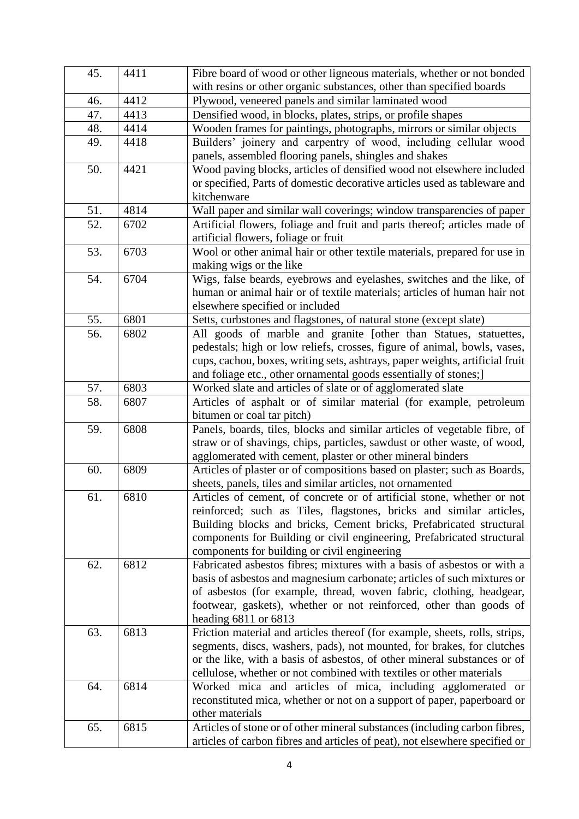| 45. | 4411 | Fibre board of wood or other ligneous materials, whether or not bonded                     |
|-----|------|--------------------------------------------------------------------------------------------|
|     |      | with resins or other organic substances, other than specified boards                       |
| 46. | 4412 | Plywood, veneered panels and similar laminated wood                                        |
| 47. | 4413 | Densified wood, in blocks, plates, strips, or profile shapes                               |
| 48. | 4414 | Wooden frames for paintings, photographs, mirrors or similar objects                       |
| 49. | 4418 | Builders' joinery and carpentry of wood, including cellular wood                           |
|     |      | panels, assembled flooring panels, shingles and shakes                                     |
| 50. | 4421 | Wood paving blocks, articles of densified wood not elsewhere included                      |
|     |      | or specified, Parts of domestic decorative articles used as tableware and                  |
|     |      | kitchenware                                                                                |
| 51. | 4814 | Wall paper and similar wall coverings; window transparencies of paper                      |
| 52. | 6702 | Artificial flowers, foliage and fruit and parts thereof; articles made of                  |
|     |      | artificial flowers, foliage or fruit                                                       |
| 53. | 6703 | Wool or other animal hair or other textile materials, prepared for use in                  |
|     |      | making wigs or the like                                                                    |
| 54. | 6704 | Wigs, false beards, eyebrows and eyelashes, switches and the like, of                      |
|     |      | human or animal hair or of textile materials; articles of human hair not                   |
|     |      | elsewhere specified or included                                                            |
| 55. | 6801 | Setts, curbstones and flagstones, of natural stone (except slate)                          |
| 56. | 6802 | All goods of marble and granite [other than Statues, statuettes,                           |
|     |      | pedestals; high or low reliefs, crosses, figure of animal, bowls, vases,                   |
|     |      | cups, cachou, boxes, writing sets, ashtrays, paper weights, artificial fruit               |
|     |      | and foliage etc., other ornamental goods essentially of stones;]                           |
| 57. | 6803 | Worked slate and articles of slate or of agglomerated slate                                |
| 58. | 6807 | Articles of asphalt or of similar material (for example, petroleum                         |
|     |      | bitumen or coal tar pitch)                                                                 |
| 59. | 6808 | Panels, boards, tiles, blocks and similar articles of vegetable fibre, of                  |
|     |      | straw or of shavings, chips, particles, sawdust or other waste, of wood,                   |
|     |      | agglomerated with cement, plaster or other mineral binders                                 |
| 60. | 6809 | Articles of plaster or of compositions based on plaster; such as Boards,                   |
|     |      | sheets, panels, tiles and similar articles, not ornamented                                 |
| 61. | 6810 | Articles of cement, of concrete or of artificial stone, whether or not                     |
|     |      | reinforced; such as Tiles, flagstones, bricks and similar articles,                        |
|     |      | Building blocks and bricks, Cement bricks, Prefabricated structural                        |
|     |      | components for Building or civil engineering, Prefabricated structural                     |
|     |      | components for building or civil engineering                                               |
| 62. | 6812 | Fabricated asbestos fibres; mixtures with a basis of asbestos or with a                    |
|     |      | basis of asbestos and magnesium carbonate; articles of such mixtures or                    |
|     |      | of asbestos (for example, thread, woven fabric, clothing, headgear,                        |
|     |      | footwear, gaskets), whether or not reinforced, other than goods of                         |
|     |      | heading $6811$ or $6813$                                                                   |
| 63. | 6813 | Friction material and articles thereof (for example, sheets, rolls, strips,                |
|     |      | segments, discs, washers, pads), not mounted, for brakes, for clutches                     |
|     |      | or the like, with a basis of asbestos, of other mineral substances or of                   |
|     |      | cellulose, whether or not combined with textiles or other materials                        |
| 64. | 6814 | Worked mica and articles of mica, including agglomerated or                                |
|     |      | reconstituted mica, whether or not on a support of paper, paperboard or<br>other materials |
| 65. | 6815 | Articles of stone or of other mineral substances (including carbon fibres,                 |
|     |      | articles of carbon fibres and articles of peat), not elsewhere specified or                |
|     |      |                                                                                            |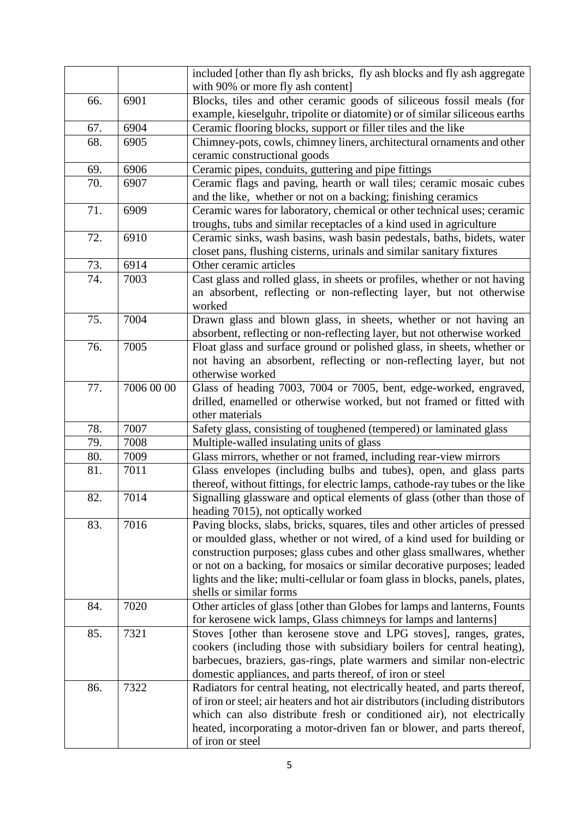|     |            | included [other than fly ash bricks, fly ash blocks and fly ash aggregate                                                                |
|-----|------------|------------------------------------------------------------------------------------------------------------------------------------------|
|     |            | with 90% or more fly ash content]                                                                                                        |
| 66. | 6901       | Blocks, tiles and other ceramic goods of siliceous fossil meals (for                                                                     |
|     |            | example, kieselguhr, tripolite or diatomite) or of similar siliceous earths                                                              |
| 67. | 6904       | Ceramic flooring blocks, support or filler tiles and the like                                                                            |
| 68. | 6905       | Chimney-pots, cowls, chimney liners, architectural ornaments and other                                                                   |
|     |            | ceramic constructional goods                                                                                                             |
| 69. | 6906       | Ceramic pipes, conduits, guttering and pipe fittings                                                                                     |
| 70. | 6907       | Ceramic flags and paving, hearth or wall tiles; ceramic mosaic cubes                                                                     |
| 71. | 6909       | and the like, whether or not on a backing; finishing ceramics<br>Ceramic wares for laboratory, chemical or other technical uses; ceramic |
|     |            | troughs, tubs and similar receptacles of a kind used in agriculture                                                                      |
| 72. | 6910       | Ceramic sinks, wash basins, wash basin pedestals, baths, bidets, water                                                                   |
|     |            | closet pans, flushing cisterns, urinals and similar sanitary fixtures                                                                    |
| 73. | 6914       | Other ceramic articles                                                                                                                   |
| 74. | 7003       | Cast glass and rolled glass, in sheets or profiles, whether or not having                                                                |
|     |            | an absorbent, reflecting or non-reflecting layer, but not otherwise                                                                      |
|     |            | worked                                                                                                                                   |
| 75. | 7004       | Drawn glass and blown glass, in sheets, whether or not having an                                                                         |
|     |            | absorbent, reflecting or non-reflecting layer, but not otherwise worked                                                                  |
| 76. | 7005       | Float glass and surface ground or polished glass, in sheets, whether or                                                                  |
|     |            | not having an absorbent, reflecting or non-reflecting layer, but not                                                                     |
|     |            | otherwise worked                                                                                                                         |
| 77. | 7006 00 00 | Glass of heading 7003, 7004 or 7005, bent, edge-worked, engraved,                                                                        |
|     |            | drilled, enamelled or otherwise worked, but not framed or fitted with                                                                    |
|     |            | other materials                                                                                                                          |
| 78. | 7007       | Safety glass, consisting of toughened (tempered) or laminated glass                                                                      |
| 79. | 7008       | Multiple-walled insulating units of glass                                                                                                |
| 80. | 7009       | Glass mirrors, whether or not framed, including rear-view mirrors                                                                        |
| 81. | 7011       | Glass envelopes (including bulbs and tubes), open, and glass parts                                                                       |
|     |            | thereof, without fittings, for electric lamps, cathode-ray tubes or the like                                                             |
| 82. | 7014       | Signalling glassware and optical elements of glass (other than those of                                                                  |
|     |            | heading 7015), not optically worked                                                                                                      |
| 83. | 7016       | Paving blocks, slabs, bricks, squares, tiles and other articles of pressed                                                               |
|     |            | or moulded glass, whether or not wired, of a kind used for building or                                                                   |
|     |            | construction purposes; glass cubes and other glass smallwares, whether                                                                   |
|     |            | or not on a backing, for mosaics or similar decorative purposes; leaded                                                                  |
|     |            | lights and the like; multi-cellular or foam glass in blocks, panels, plates,                                                             |
|     |            | shells or similar forms                                                                                                                  |
| 84. | 7020       | Other articles of glass [other than Globes for lamps and lanterns, Founts                                                                |
|     |            | for kerosene wick lamps, Glass chimneys for lamps and lanterns]                                                                          |
| 85. | 7321       | Stoves [other than kerosene stove and LPG stoves], ranges, grates,                                                                       |
|     |            | cookers (including those with subsidiary boilers for central heating),                                                                   |
|     |            | barbecues, braziers, gas-rings, plate warmers and similar non-electric                                                                   |
|     |            | domestic appliances, and parts thereof, of iron or steel                                                                                 |
| 86. | 7322       | Radiators for central heating, not electrically heated, and parts thereof,                                                               |
|     |            | of iron or steel; air heaters and hot air distributors (including distributors                                                           |
|     |            | which can also distribute fresh or conditioned air), not electrically                                                                    |
|     |            | heated, incorporating a motor-driven fan or blower, and parts thereof,                                                                   |
|     |            | of iron or steel                                                                                                                         |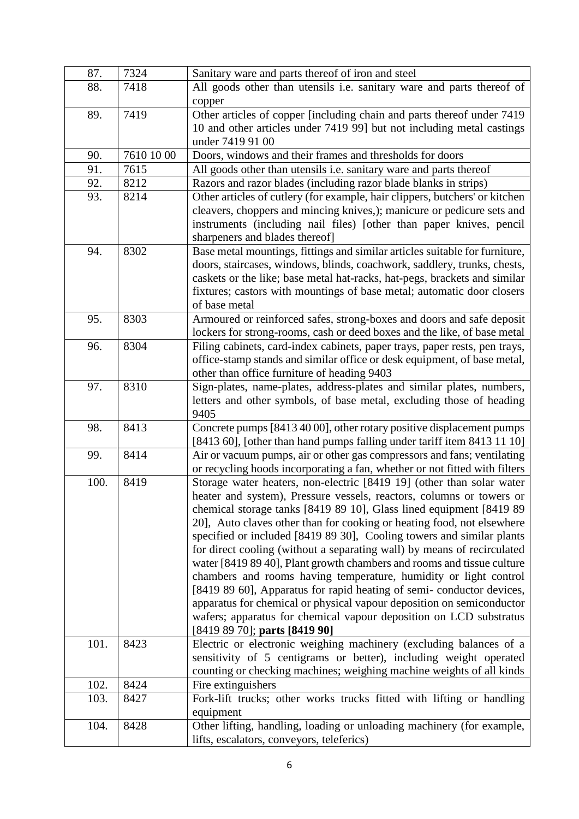| 87.  | 7324       | Sanitary ware and parts thereof of iron and steel                                                                  |
|------|------------|--------------------------------------------------------------------------------------------------------------------|
| 88.  | 7418       | All goods other than utensils i.e. sanitary ware and parts thereof of                                              |
|      |            | copper                                                                                                             |
| 89.  | 7419       | Other articles of copper [including chain and parts thereof under 7419                                             |
|      |            | 10 and other articles under 7419 99] but not including metal castings                                              |
|      |            | under 7419 91 00                                                                                                   |
| 90.  | 7610 10 00 | Doors, windows and their frames and thresholds for doors                                                           |
| 91.  | 7615       | All goods other than utensils i.e. sanitary ware and parts thereof                                                 |
| 92.  | 8212       | Razors and razor blades (including razor blade blanks in strips)                                                   |
| 93.  | 8214       | Other articles of cutlery (for example, hair clippers, butchers' or kitchen                                        |
|      |            | cleavers, choppers and mincing knives,); manicure or pedicure sets and                                             |
|      |            | instruments (including nail files) [other than paper knives, pencil                                                |
|      |            | sharpeners and blades thereof]                                                                                     |
| 94.  | 8302       | Base metal mountings, fittings and similar articles suitable for furniture,                                        |
|      |            | doors, staircases, windows, blinds, coachwork, saddlery, trunks, chests,                                           |
|      |            | caskets or the like; base metal hat-racks, hat-pegs, brackets and similar                                          |
|      |            | fixtures; castors with mountings of base metal; automatic door closers                                             |
|      |            | of base metal                                                                                                      |
| 95.  | 8303       | Armoured or reinforced safes, strong-boxes and doors and safe deposit                                              |
|      |            | lockers for strong-rooms, cash or deed boxes and the like, of base metal                                           |
| 96.  | 8304       | Filing cabinets, card-index cabinets, paper trays, paper rests, pen trays,                                         |
|      |            | office-stamp stands and similar office or desk equipment, of base metal,                                           |
|      | 8310       | other than office furniture of heading 9403                                                                        |
| 97.  |            | Sign-plates, name-plates, address-plates and similar plates, numbers,                                              |
|      |            | letters and other symbols, of base metal, excluding those of heading<br>9405                                       |
| 98.  | 8413       | Concrete pumps [8413 40 00], other rotary positive displacement pumps                                              |
|      |            | [8413 60], [other than hand pumps falling under tariff item 8413 11 10]                                            |
| 99.  | 8414       | Air or vacuum pumps, air or other gas compressors and fans; ventilating                                            |
|      |            | or recycling hoods incorporating a fan, whether or not fitted with filters                                         |
| 100. | 8419       | Storage water heaters, non-electric [8419 19] (other than solar water                                              |
|      |            | heater and system), Pressure vessels, reactors, columns or towers or                                               |
|      |            | chemical storage tanks [8419 89 10], Glass lined equipment [8419 89]                                               |
|      |            | 20], Auto claves other than for cooking or heating food, not elsewhere                                             |
|      |            | specified or included [8419 89 30], Cooling towers and similar plants                                              |
|      |            | for direct cooling (without a separating wall) by means of recirculated                                            |
|      |            | water [8419 89 40], Plant growth chambers and rooms and tissue culture                                             |
|      |            | chambers and rooms having temperature, humidity or light control                                                   |
|      |            | [8419 89 60], Apparatus for rapid heating of semi-conductor devices,                                               |
|      |            | apparatus for chemical or physical vapour deposition on semiconductor                                              |
|      |            | wafers; apparatus for chemical vapour deposition on LCD substratus                                                 |
|      |            | [8419 89 70]; parts [8419 90]                                                                                      |
| 101. | 8423       | Electric or electronic weighing machinery (excluding balances of a                                                 |
|      |            | sensitivity of 5 centigrams or better), including weight operated                                                  |
|      |            | counting or checking machines; weighing machine weights of all kinds                                               |
| 102. | 8424       | Fire extinguishers                                                                                                 |
| 103. | 8427       | Fork-lift trucks; other works trucks fitted with lifting or handling                                               |
|      |            | equipment                                                                                                          |
| 104. | 8428       | Other lifting, handling, loading or unloading machinery (for example,<br>lifts, escalators, conveyors, teleferics) |
|      |            |                                                                                                                    |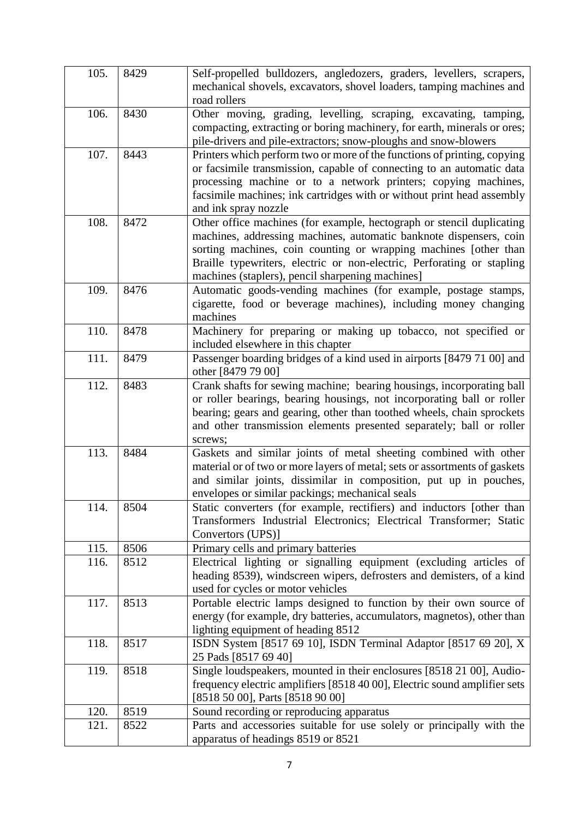| 105. | 8429 | Self-propelled bulldozers, angledozers, graders, levellers, scrapers,<br>mechanical shovels, excavators, shovel loaders, tamping machines and<br>road rollers                                                                                                                                                                                 |
|------|------|-----------------------------------------------------------------------------------------------------------------------------------------------------------------------------------------------------------------------------------------------------------------------------------------------------------------------------------------------|
| 106. | 8430 | Other moving, grading, levelling, scraping, excavating, tamping,<br>compacting, extracting or boring machinery, for earth, minerals or ores;<br>pile-drivers and pile-extractors; snow-ploughs and snow-blowers                                                                                                                               |
| 107. | 8443 | Printers which perform two or more of the functions of printing, copying<br>or facsimile transmission, capable of connecting to an automatic data<br>processing machine or to a network printers; copying machines,<br>facsimile machines; ink cartridges with or without print head assembly<br>and ink spray nozzle                         |
| 108. | 8472 | Other office machines (for example, hectograph or stencil duplicating<br>machines, addressing machines, automatic banknote dispensers, coin<br>sorting machines, coin counting or wrapping machines [other than<br>Braille typewriters, electric or non-electric, Perforating or stapling<br>machines (staplers), pencil sharpening machines] |
| 109. | 8476 | Automatic goods-vending machines (for example, postage stamps,<br>cigarette, food or beverage machines), including money changing<br>machines                                                                                                                                                                                                 |
| 110. | 8478 | Machinery for preparing or making up tobacco, not specified or<br>included elsewhere in this chapter                                                                                                                                                                                                                                          |
| 111. | 8479 | Passenger boarding bridges of a kind used in airports [8479 71 00] and<br>other [8479 79 00]                                                                                                                                                                                                                                                  |
| 112. | 8483 | Crank shafts for sewing machine; bearing housings, incorporating ball<br>or roller bearings, bearing housings, not incorporating ball or roller<br>bearing; gears and gearing, other than toothed wheels, chain sprockets<br>and other transmission elements presented separately; ball or roller<br>screws;                                  |
| 113. | 8484 | Gaskets and similar joints of metal sheeting combined with other<br>material or of two or more layers of metal; sets or assortments of gaskets<br>and similar joints, dissimilar in composition, put up in pouches,<br>envelopes or similar packings; mechanical seals                                                                        |
| 114. | 8504 | Static converters (for example, rectifiers) and inductors [other than<br>Transformers Industrial Electronics; Electrical Transformer; Static<br>Convertors (UPS)]                                                                                                                                                                             |
| 115. | 8506 | Primary cells and primary batteries                                                                                                                                                                                                                                                                                                           |
| 116. | 8512 | Electrical lighting or signalling equipment (excluding articles of<br>heading 8539), windscreen wipers, defrosters and demisters, of a kind<br>used for cycles or motor vehicles                                                                                                                                                              |
| 117. | 8513 | Portable electric lamps designed to function by their own source of<br>energy (for example, dry batteries, accumulators, magnetos), other than<br>lighting equipment of heading 8512                                                                                                                                                          |
| 118. | 8517 | ISDN System [8517 69 10], ISDN Terminal Adaptor [8517 69 20], X<br>25 Pads [8517 69 40]                                                                                                                                                                                                                                                       |
| 119. | 8518 | Single loudspeakers, mounted in their enclosures [8518 21 00], Audio-<br>frequency electric amplifiers [8518 40 00], Electric sound amplifier sets<br>[8518 50 00], Parts [8518 90 00]                                                                                                                                                        |
| 120. | 8519 | Sound recording or reproducing apparatus                                                                                                                                                                                                                                                                                                      |
| 121. | 8522 | Parts and accessories suitable for use solely or principally with the<br>apparatus of headings 8519 or 8521                                                                                                                                                                                                                                   |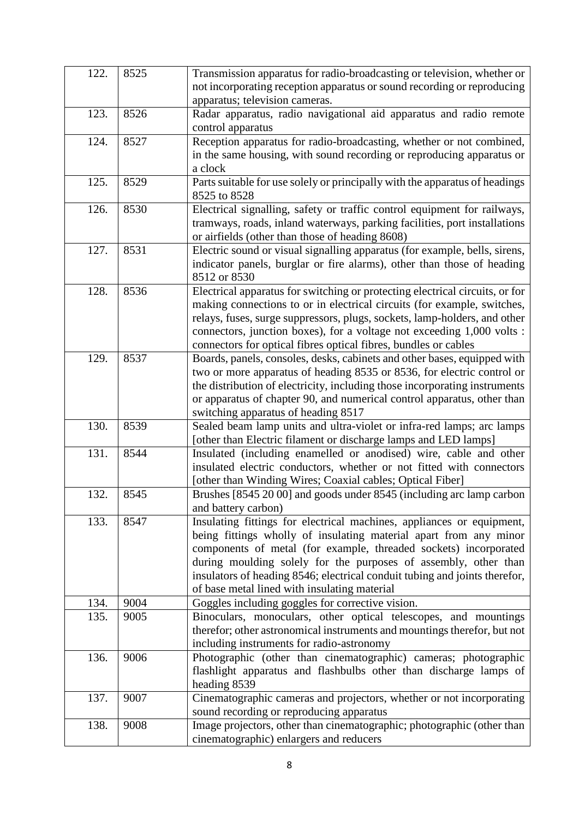| 122. | 8525 | Transmission apparatus for radio-broadcasting or television, whether or<br>not incorporating reception apparatus or sound recording or reproducing    |
|------|------|-------------------------------------------------------------------------------------------------------------------------------------------------------|
|      |      | apparatus; television cameras.                                                                                                                        |
| 123. | 8526 | Radar apparatus, radio navigational aid apparatus and radio remote                                                                                    |
|      |      | control apparatus                                                                                                                                     |
| 124. | 8527 | Reception apparatus for radio-broadcasting, whether or not combined,                                                                                  |
|      |      | in the same housing, with sound recording or reproducing apparatus or                                                                                 |
|      |      | a clock                                                                                                                                               |
| 125. | 8529 | Parts suitable for use solely or principally with the apparatus of headings                                                                           |
|      |      | 8525 to 8528                                                                                                                                          |
| 126. | 8530 | Electrical signalling, safety or traffic control equipment for railways,                                                                              |
|      |      | tramways, roads, inland waterways, parking facilities, port installations                                                                             |
|      |      | or airfields (other than those of heading 8608)                                                                                                       |
| 127. | 8531 | Electric sound or visual signalling apparatus (for example, bells, sirens,                                                                            |
|      |      | indicator panels, burglar or fire alarms), other than those of heading                                                                                |
|      |      | 8512 or 8530                                                                                                                                          |
| 128. | 8536 | Electrical apparatus for switching or protecting electrical circuits, or for                                                                          |
|      |      | making connections to or in electrical circuits (for example, switches,                                                                               |
|      |      | relays, fuses, surge suppressors, plugs, sockets, lamp-holders, and other                                                                             |
|      |      | connectors, junction boxes), for a voltage not exceeding 1,000 volts :                                                                                |
|      |      | connectors for optical fibres optical fibres, bundles or cables                                                                                       |
| 129. | 8537 | Boards, panels, consoles, desks, cabinets and other bases, equipped with                                                                              |
|      |      | two or more apparatus of heading 8535 or 8536, for electric control or                                                                                |
|      |      | the distribution of electricity, including those incorporating instruments<br>or apparatus of chapter 90, and numerical control apparatus, other than |
|      |      | switching apparatus of heading 8517                                                                                                                   |
| 130. | 8539 | Sealed beam lamp units and ultra-violet or infra-red lamps; arc lamps                                                                                 |
|      |      | [other than Electric filament or discharge lamps and LED lamps]                                                                                       |
| 131. | 8544 | Insulated (including enamelled or anodised) wire, cable and other                                                                                     |
|      |      | insulated electric conductors, whether or not fitted with connectors                                                                                  |
|      |      | [other than Winding Wires; Coaxial cables; Optical Fiber]                                                                                             |
| 132. | 8545 | Brushes [8545 20 00] and goods under 8545 (including arc lamp carbon                                                                                  |
|      |      | and battery carbon)                                                                                                                                   |
| 133. | 8547 | Insulating fittings for electrical machines, appliances or equipment,                                                                                 |
|      |      | being fittings wholly of insulating material apart from any minor                                                                                     |
|      |      | components of metal (for example, threaded sockets) incorporated                                                                                      |
|      |      | during moulding solely for the purposes of assembly, other than                                                                                       |
|      |      | insulators of heading 8546; electrical conduit tubing and joints therefor,                                                                            |
|      |      | of base metal lined with insulating material                                                                                                          |
| 134. | 9004 | Goggles including goggles for corrective vision.                                                                                                      |
| 135. | 9005 | Binoculars, monoculars, other optical telescopes, and mountings                                                                                       |
|      |      | therefor; other astronomical instruments and mountings therefor, but not                                                                              |
|      |      | including instruments for radio-astronomy                                                                                                             |
| 136. | 9006 | Photographic (other than cinematographic) cameras; photographic                                                                                       |
|      |      | flashlight apparatus and flashbulbs other than discharge lamps of                                                                                     |
| 137. | 9007 | heading 8539<br>Cinematographic cameras and projectors, whether or not incorporating                                                                  |
|      |      | sound recording or reproducing apparatus                                                                                                              |
| 138. | 9008 | Image projectors, other than cinematographic; photographic (other than                                                                                |
|      |      | cinematographic) enlargers and reducers                                                                                                               |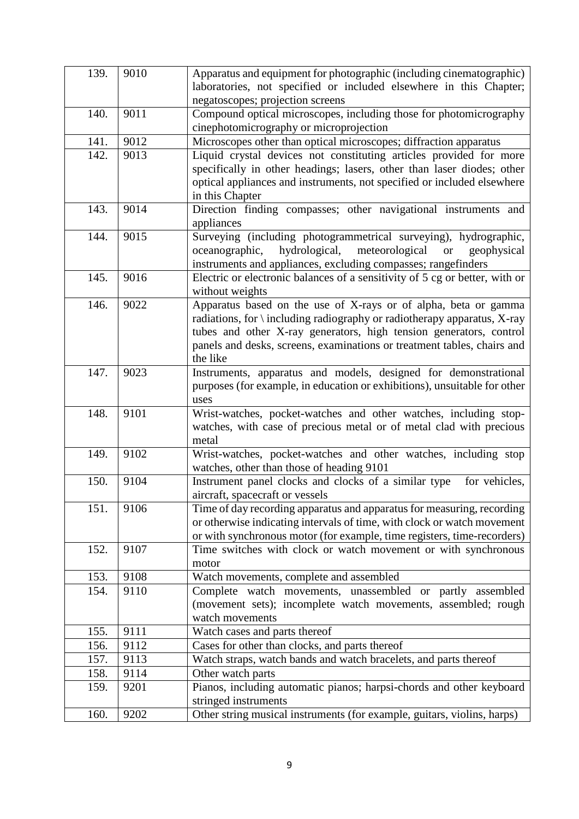| 139. | 9010 | Apparatus and equipment for photographic (including cinematographic)                                                                    |
|------|------|-----------------------------------------------------------------------------------------------------------------------------------------|
|      |      | laboratories, not specified or included elsewhere in this Chapter;                                                                      |
|      |      | negatoscopes; projection screens                                                                                                        |
| 140. | 9011 | Compound optical microscopes, including those for photomicrography                                                                      |
|      |      | cinephotomicrography or microprojection                                                                                                 |
| 141. | 9012 | Microscopes other than optical microscopes; diffraction apparatus                                                                       |
| 142. | 9013 |                                                                                                                                         |
|      |      | Liquid crystal devices not constituting articles provided for more                                                                      |
|      |      | specifically in other headings; lasers, other than laser diodes; other                                                                  |
|      |      | optical appliances and instruments, not specified or included elsewhere                                                                 |
| 143. | 9014 | in this Chapter                                                                                                                         |
|      |      | Direction finding compasses; other navigational instruments and<br>appliances                                                           |
| 144. | 9015 | Surveying (including photogrammetrical surveying), hydrographic,                                                                        |
|      |      |                                                                                                                                         |
|      |      | hydrological,<br>meteorological<br>oceanographic,<br>geophysical<br><b>or</b>                                                           |
| 145. | 9016 | instruments and appliances, excluding compasses; rangefinders                                                                           |
|      |      | Electric or electronic balances of a sensitivity of 5 cg or better, with or                                                             |
| 146. | 9022 | without weights<br>Apparatus based on the use of X-rays or of alpha, beta or gamma                                                      |
|      |      |                                                                                                                                         |
|      |      | radiations, for $\langle$ including radiography or radiotherapy apparatus, X-ray                                                        |
|      |      | tubes and other X-ray generators, high tension generators, control                                                                      |
|      |      | panels and desks, screens, examinations or treatment tables, chairs and<br>the like                                                     |
| 147. | 9023 |                                                                                                                                         |
|      |      | Instruments, apparatus and models, designed for demonstrational                                                                         |
|      |      | purposes (for example, in education or exhibitions), unsuitable for other                                                               |
| 148. | 9101 | uses                                                                                                                                    |
|      |      | Wrist-watches, pocket-watches and other watches, including stop-<br>watches, with case of precious metal or of metal clad with precious |
|      |      | metal                                                                                                                                   |
| 149. | 9102 | Wrist-watches, pocket-watches and other watches, including stop                                                                         |
|      |      | watches, other than those of heading 9101                                                                                               |
| 150. | 9104 | Instrument panel clocks and clocks of a similar type<br>for vehicles,                                                                   |
|      |      | aircraft, spacecraft or vessels                                                                                                         |
| 151. | 9106 | Time of day recording apparatus and apparatus for measuring, recording                                                                  |
|      |      | or otherwise indicating intervals of time, with clock or watch movement                                                                 |
|      |      | or with synchronous motor (for example, time registers, time-recorders)                                                                 |
| 152. | 9107 | Time switches with clock or watch movement or with synchronous                                                                          |
|      |      | motor                                                                                                                                   |
| 153. | 9108 | Watch movements, complete and assembled                                                                                                 |
| 154. | 9110 | Complete watch movements, unassembled or partly assembled                                                                               |
|      |      | (movement sets); incomplete watch movements, assembled; rough                                                                           |
|      |      | watch movements                                                                                                                         |
| 155. | 9111 | Watch cases and parts thereof                                                                                                           |
| 156. | 9112 | Cases for other than clocks, and parts thereof                                                                                          |
| 157. | 9113 | Watch straps, watch bands and watch bracelets, and parts thereof                                                                        |
| 158. | 9114 | Other watch parts                                                                                                                       |
| 159. | 9201 | Pianos, including automatic pianos; harpsi-chords and other keyboard                                                                    |
|      |      | stringed instruments                                                                                                                    |
| 160. | 9202 | Other string musical instruments (for example, guitars, violins, harps)                                                                 |
|      |      |                                                                                                                                         |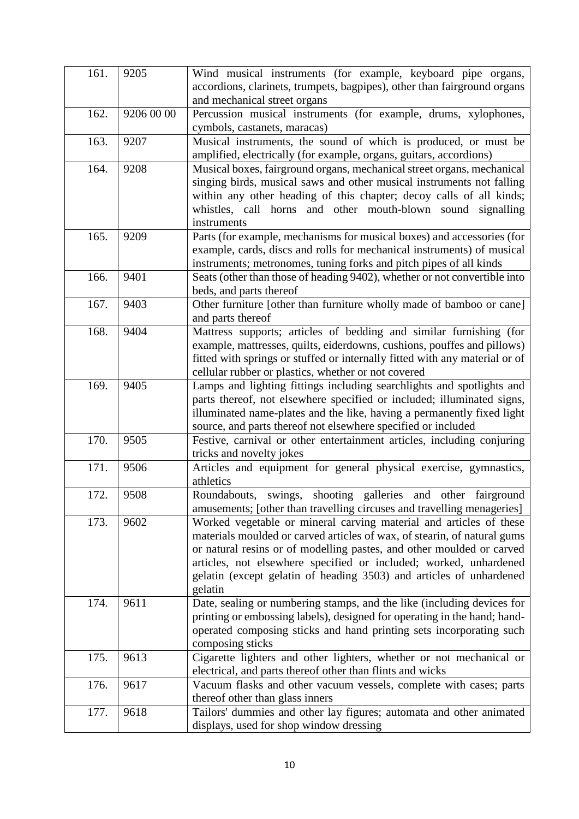| 161. | 9205       | Wind musical instruments (for example, keyboard pipe organs,                |
|------|------------|-----------------------------------------------------------------------------|
|      |            | accordions, clarinets, trumpets, bagpipes), other than fairground organs    |
|      |            | and mechanical street organs                                                |
| 162. | 9206 00 00 | Percussion musical instruments (for example, drums, xylophones,             |
|      |            | cymbols, castanets, maracas)                                                |
| 163. | 9207       | Musical instruments, the sound of which is produced, or must be             |
|      |            | amplified, electrically (for example, organs, guitars, accordions)          |
| 164. | 9208       | Musical boxes, fairground organs, mechanical street organs, mechanical      |
|      |            | singing birds, musical saws and other musical instruments not falling       |
|      |            | within any other heading of this chapter; decoy calls of all kinds;         |
|      |            | whistles, call horns and other mouth-blown sound signalling                 |
|      |            | instruments                                                                 |
| 165. | 9209       | Parts (for example, mechanisms for musical boxes) and accessories (for      |
|      |            | example, cards, discs and rolls for mechanical instruments) of musical      |
|      |            | instruments; metronomes, tuning forks and pitch pipes of all kinds          |
| 166. | 9401       | Seats (other than those of heading 9402), whether or not convertible into   |
|      |            | beds, and parts thereof                                                     |
| 167. | 9403       | Other furniture [other than furniture wholly made of bamboo or cane]        |
|      |            | and parts thereof                                                           |
| 168. | 9404       | Mattress supports; articles of bedding and similar furnishing (for          |
|      |            | example, mattresses, quilts, eiderdowns, cushions, pouffes and pillows)     |
|      |            | fitted with springs or stuffed or internally fitted with any material or of |
|      |            | cellular rubber or plastics, whether or not covered                         |
| 169. | 9405       | Lamps and lighting fittings including searchlights and spotlights and       |
|      |            | parts thereof, not elsewhere specified or included; illuminated signs,      |
|      |            | illuminated name-plates and the like, having a permanently fixed light      |
|      |            | source, and parts thereof not elsewhere specified or included               |
| 170. | 9505       | Festive, carnival or other entertainment articles, including conjuring      |
|      |            | tricks and novelty jokes                                                    |
| 171. | 9506       | Articles and equipment for general physical exercise, gymnastics,           |
|      |            | athletics                                                                   |
| 172. | 9508       | swings,<br>shooting galleries<br>Roundabouts,<br>and other fairground       |
|      |            | amusements; [other than travelling circuses and travelling menageries]      |
| 173. | 9602       | Worked vegetable or mineral carving material and articles of these          |
|      |            | materials moulded or carved articles of wax, of stearin, of natural gums    |
|      |            | or natural resins or of modelling pastes, and other moulded or carved       |
|      |            | articles, not elsewhere specified or included; worked, unhardened           |
|      |            | gelatin (except gelatin of heading 3503) and articles of unhardened         |
|      |            | gelatin                                                                     |
| 174. | 9611       | Date, sealing or numbering stamps, and the like (including devices for      |
|      |            | printing or embossing labels), designed for operating in the hand; hand-    |
|      |            | operated composing sticks and hand printing sets incorporating such         |
|      |            | composing sticks                                                            |
| 175. | 9613       | Cigarette lighters and other lighters, whether or not mechanical or         |
|      |            | electrical, and parts thereof other than flints and wicks                   |
| 176. | 9617       | Vacuum flasks and other vacuum vessels, complete with cases; parts          |
|      |            | thereof other than glass inners                                             |
| 177. | 9618       | Tailors' dummies and other lay figures; automata and other animated         |
|      |            | displays, used for shop window dressing                                     |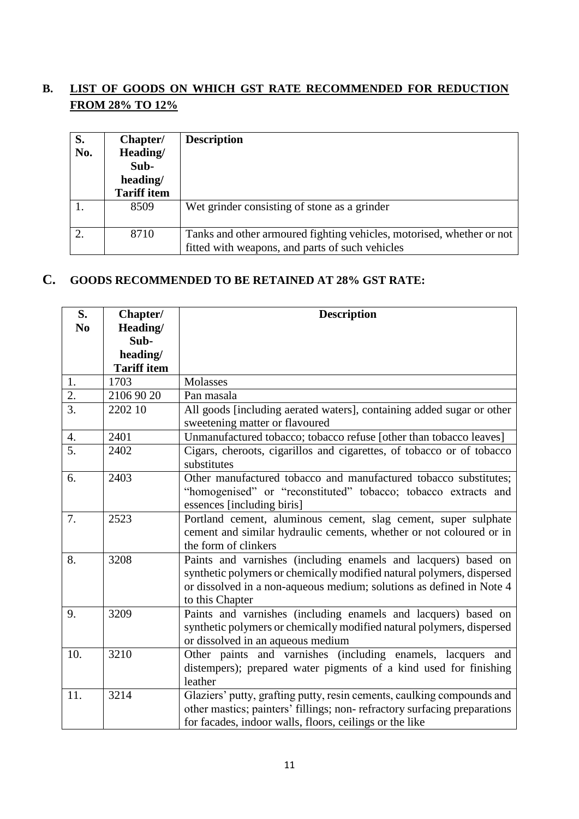## **B. LIST OF GOODS ON WHICH GST RATE RECOMMENDED FOR REDUCTION FROM 28% TO 12%**

| S.<br>No. | Chapter/<br>Heading/<br>Sub-<br>heading/<br><b>Tariff item</b> | <b>Description</b>                                                                                                       |
|-----------|----------------------------------------------------------------|--------------------------------------------------------------------------------------------------------------------------|
|           | 8509                                                           | Wet grinder consisting of stone as a grinder                                                                             |
| 2.        | 8710                                                           | Tanks and other armoured fighting vehicles, motorised, whether or not<br>fitted with weapons, and parts of such vehicles |

### **C. GOODS RECOMMENDED TO BE RETAINED AT 28% GST RATE:**

| S.               | Chapter/           | <b>Description</b>                                                                                                                                                                                                                 |
|------------------|--------------------|------------------------------------------------------------------------------------------------------------------------------------------------------------------------------------------------------------------------------------|
| N <sub>0</sub>   | Heading/           |                                                                                                                                                                                                                                    |
|                  | Sub-               |                                                                                                                                                                                                                                    |
|                  | heading/           |                                                                                                                                                                                                                                    |
|                  | <b>Tariff item</b> |                                                                                                                                                                                                                                    |
| 1.               | 1703               | Molasses                                                                                                                                                                                                                           |
| $\overline{2}$ . | 2106 90 20         | Pan masala                                                                                                                                                                                                                         |
| $\overline{3}$ . | 2202 10            | All goods [including aerated waters], containing added sugar or other<br>sweetening matter or flavoured                                                                                                                            |
| 4.               | 2401               | Unmanufactured tobacco; tobacco refuse [other than tobacco leaves]                                                                                                                                                                 |
| $\overline{5}$ . | 2402               | Cigars, cheroots, cigarillos and cigarettes, of tobacco or of tobacco<br>substitutes                                                                                                                                               |
| 6.               | 2403               | Other manufactured tobacco and manufactured tobacco substitutes;<br>"homogenised" or "reconstituted" tobacco; tobacco extracts and<br>essences [including biris]                                                                   |
| 7.               | 2523               | Portland cement, aluminous cement, slag cement, super sulphate<br>cement and similar hydraulic cements, whether or not coloured or in<br>the form of clinkers                                                                      |
| 8.               | 3208               | Paints and varnishes (including enamels and lacquers) based on<br>synthetic polymers or chemically modified natural polymers, dispersed<br>or dissolved in a non-aqueous medium; solutions as defined in Note 4<br>to this Chapter |
| 9.               | 3209               | Paints and varnishes (including enamels and lacquers) based on<br>synthetic polymers or chemically modified natural polymers, dispersed<br>or dissolved in an aqueous medium                                                       |
| 10.              | 3210               | Other paints and varnishes (including enamels, lacquers and<br>distempers); prepared water pigments of a kind used for finishing<br>leather                                                                                        |
| 11.              | 3214               | Glaziers' putty, grafting putty, resin cements, caulking compounds and<br>other mastics; painters' fillings; non-refractory surfacing preparations<br>for facades, indoor walls, floors, ceilings or the like                      |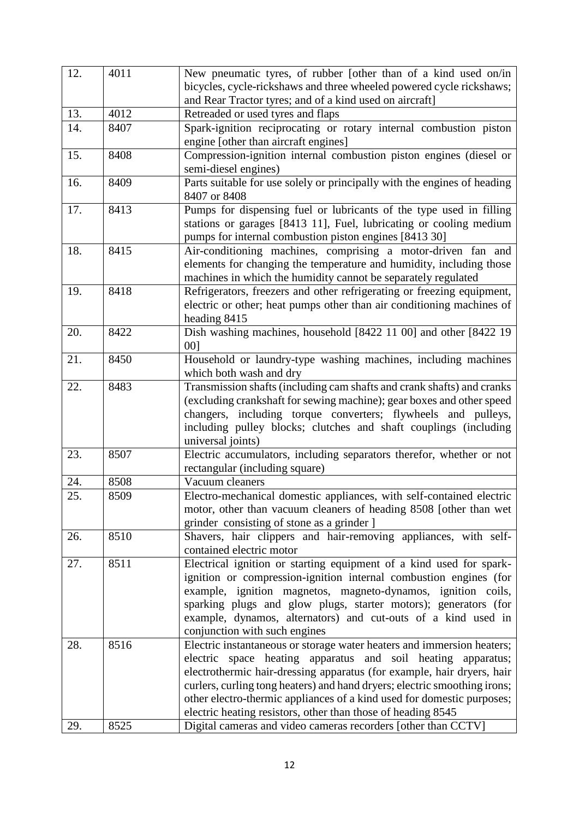| 12. | 4011 | New pneumatic tyres, of rubber [other than of a kind used on/in           |  |
|-----|------|---------------------------------------------------------------------------|--|
|     |      | bicycles, cycle-rickshaws and three wheeled powered cycle rickshaws;      |  |
|     |      | and Rear Tractor tyres; and of a kind used on aircraft]                   |  |
| 13. | 4012 | Retreaded or used tyres and flaps                                         |  |
| 14. | 8407 | Spark-ignition reciprocating or rotary internal combustion piston         |  |
|     |      | engine [other than aircraft engines]                                      |  |
| 15. | 8408 | Compression-ignition internal combustion piston engines (diesel or        |  |
|     |      | semi-diesel engines)                                                      |  |
| 16. | 8409 | Parts suitable for use solely or principally with the engines of heading  |  |
|     |      | 8407 or 8408                                                              |  |
| 17. | 8413 | Pumps for dispensing fuel or lubricants of the type used in filling       |  |
|     |      | stations or garages [8413 11], Fuel, lubricating or cooling medium        |  |
|     |      | pumps for internal combustion piston engines [8413 30]                    |  |
| 18. | 8415 | Air-conditioning machines, comprising a motor-driven fan and              |  |
|     |      | elements for changing the temperature and humidity, including those       |  |
|     |      | machines in which the humidity cannot be separately regulated             |  |
| 19. | 8418 | Refrigerators, freezers and other refrigerating or freezing equipment,    |  |
|     |      | electric or other; heat pumps other than air conditioning machines of     |  |
|     |      | heading 8415                                                              |  |
| 20. | 8422 | Dish washing machines, household [8422 11 00] and other [8422 19          |  |
|     |      | 001                                                                       |  |
| 21. | 8450 | Household or laundry-type washing machines, including machines            |  |
|     |      | which both wash and dry                                                   |  |
| 22. | 8483 | Transmission shafts (including cam shafts and crank shafts) and cranks    |  |
|     |      | (excluding crankshaft for sewing machine); gear boxes and other speed     |  |
|     |      | changers, including torque converters; flywheels and pulleys,             |  |
|     |      | including pulley blocks; clutches and shaft couplings (including          |  |
|     |      | universal joints)                                                         |  |
| 23. | 8507 | Electric accumulators, including separators therefor, whether or not      |  |
|     |      | rectangular (including square)                                            |  |
| 24. | 8508 | Vacuum cleaners                                                           |  |
| 25. | 8509 | Electro-mechanical domestic appliances, with self-contained electric      |  |
|     |      | motor, other than vacuum cleaners of heading 8508 [other than wet         |  |
|     |      | grinder consisting of stone as a grinder ]                                |  |
| 26. | 8510 | Shavers, hair clippers and hair-removing appliances, with self-           |  |
|     |      | contained electric motor                                                  |  |
| 27. | 8511 | Electrical ignition or starting equipment of a kind used for spark-       |  |
|     |      | ignition or compression-ignition internal combustion engines (for         |  |
|     |      | example, ignition magnetos, magneto-dynamos, ignition coils,              |  |
|     |      | sparking plugs and glow plugs, starter motors); generators (for           |  |
|     |      | example, dynamos, alternators) and cut-outs of a kind used in             |  |
|     |      | conjunction with such engines                                             |  |
| 28. | 8516 | Electric instantaneous or storage water heaters and immersion heaters;    |  |
|     |      | electric space heating apparatus and soil heating apparatus;              |  |
|     |      | electrothermic hair-dressing apparatus (for example, hair dryers, hair    |  |
|     |      | curlers, curling tong heaters) and hand dryers; electric smoothing irons; |  |
|     |      | other electro-thermic appliances of a kind used for domestic purposes;    |  |
|     |      | electric heating resistors, other than those of heading 8545              |  |
| 29. | 8525 | Digital cameras and video cameras recorders [other than CCTV]             |  |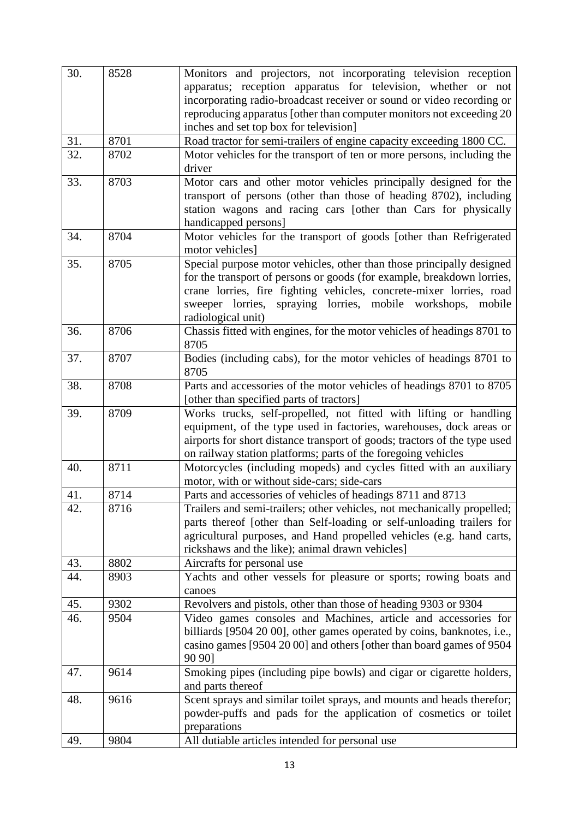| 30. | 8528 | Monitors and projectors, not incorporating television reception<br>apparatus; reception apparatus for television, whether or not<br>incorporating radio-broadcast receiver or sound or video recording or                                                                                                      |
|-----|------|----------------------------------------------------------------------------------------------------------------------------------------------------------------------------------------------------------------------------------------------------------------------------------------------------------------|
|     |      | reproducing apparatus [other than computer monitors not exceeding 20<br>inches and set top box for television]                                                                                                                                                                                                 |
| 31. | 8701 | Road tractor for semi-trailers of engine capacity exceeding 1800 CC.                                                                                                                                                                                                                                           |
| 32. | 8702 | Motor vehicles for the transport of ten or more persons, including the<br>driver                                                                                                                                                                                                                               |
| 33. | 8703 | Motor cars and other motor vehicles principally designed for the<br>transport of persons (other than those of heading 8702), including<br>station wagons and racing cars [other than Cars for physically<br>handicapped persons]                                                                               |
| 34. | 8704 | Motor vehicles for the transport of goods [other than Refrigerated<br>motor vehicles]                                                                                                                                                                                                                          |
| 35. | 8705 | Special purpose motor vehicles, other than those principally designed<br>for the transport of persons or goods (for example, breakdown lorries,<br>crane lorries, fire fighting vehicles, concrete-mixer lorries, road<br>sweeper lorries, spraying lorries, mobile workshops,<br>mobile<br>radiological unit) |
| 36. | 8706 | Chassis fitted with engines, for the motor vehicles of headings 8701 to<br>8705                                                                                                                                                                                                                                |
| 37. | 8707 | Bodies (including cabs), for the motor vehicles of headings 8701 to<br>8705                                                                                                                                                                                                                                    |
| 38. | 8708 | Parts and accessories of the motor vehicles of headings 8701 to 8705<br>[other than specified parts of tractors]                                                                                                                                                                                               |
| 39. | 8709 | Works trucks, self-propelled, not fitted with lifting or handling<br>equipment, of the type used in factories, warehouses, dock areas or<br>airports for short distance transport of goods; tractors of the type used<br>on railway station platforms; parts of the foregoing vehicles                         |
| 40. | 8711 | Motorcycles (including mopeds) and cycles fitted with an auxiliary<br>motor, with or without side-cars; side-cars                                                                                                                                                                                              |
| 41. | 8714 | Parts and accessories of vehicles of headings 8711 and 8713                                                                                                                                                                                                                                                    |
| 42. | 8716 | Trailers and semi-trailers; other vehicles, not mechanically propelled;<br>parts thereof [other than Self-loading or self-unloading trailers for<br>agricultural purposes, and Hand propelled vehicles (e.g. hand carts,<br>rickshaws and the like); animal drawn vehicles]                                    |
| 43. | 8802 | Aircrafts for personal use                                                                                                                                                                                                                                                                                     |
| 44. | 8903 | Yachts and other vessels for pleasure or sports; rowing boats and<br>canoes                                                                                                                                                                                                                                    |
| 45. | 9302 | Revolvers and pistols, other than those of heading 9303 or 9304                                                                                                                                                                                                                                                |
| 46. | 9504 | Video games consoles and Machines, article and accessories for<br>billiards [9504 20 00], other games operated by coins, banknotes, i.e.,<br>casino games [9504 20 00] and others [other than board games of 9504<br>90 90]                                                                                    |
| 47. | 9614 | Smoking pipes (including pipe bowls) and cigar or cigarette holders,<br>and parts thereof                                                                                                                                                                                                                      |
| 48. | 9616 | Scent sprays and similar toilet sprays, and mounts and heads therefor;<br>powder-puffs and pads for the application of cosmetics or toilet<br>preparations                                                                                                                                                     |
| 49. | 9804 | All dutiable articles intended for personal use                                                                                                                                                                                                                                                                |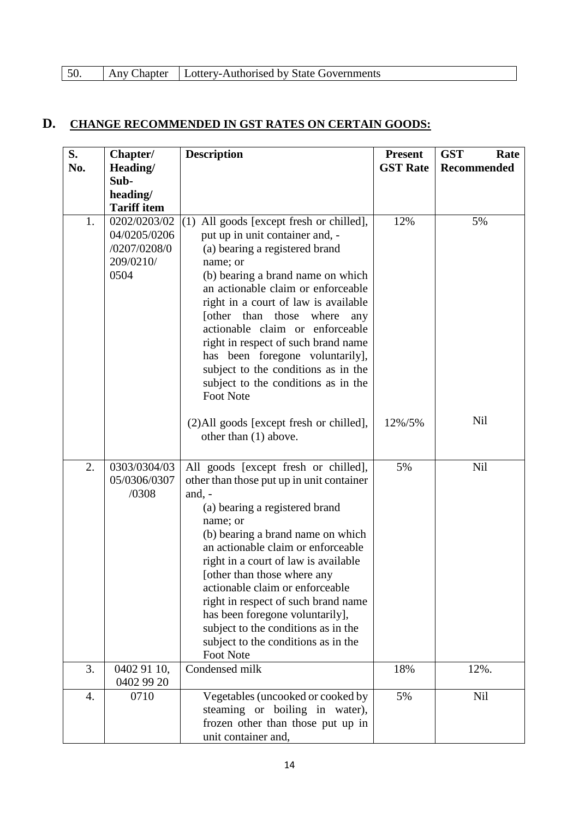| 50. |  | Any Chapter   Lottery-Authorised by State Governments |  |
|-----|--|-------------------------------------------------------|--|
|-----|--|-------------------------------------------------------|--|

# **D. CHANGE RECOMMENDED IN GST RATES ON CERTAIN GOODS:**

| S.  | Chapter/                                                          | <b>Description</b>                                                                                                                                                                                                                                                                                                                                                                                                                                                                                    | <b>Present</b><br><b>GST Rate</b> | <b>GST</b><br>Rate |
|-----|-------------------------------------------------------------------|-------------------------------------------------------------------------------------------------------------------------------------------------------------------------------------------------------------------------------------------------------------------------------------------------------------------------------------------------------------------------------------------------------------------------------------------------------------------------------------------------------|-----------------------------------|--------------------|
| No. | Heading/<br>Sub-                                                  |                                                                                                                                                                                                                                                                                                                                                                                                                                                                                                       |                                   | <b>Recommended</b> |
|     | heading/                                                          |                                                                                                                                                                                                                                                                                                                                                                                                                                                                                                       |                                   |                    |
|     | <b>Tariff item</b>                                                |                                                                                                                                                                                                                                                                                                                                                                                                                                                                                                       |                                   |                    |
| 1.  | 0202/0203/02<br>04/0205/0206<br>/0207/0208/0<br>209/0210/<br>0504 | All goods [except fresh or chilled],<br>(1)<br>put up in unit container and, -<br>(a) bearing a registered brand<br>name; or<br>(b) bearing a brand name on which<br>an actionable claim or enforceable<br>right in a court of law is available<br>[other than those]<br>where<br>any<br>actionable claim or enforceable<br>right in respect of such brand name<br>has been foregone voluntarily],<br>subject to the conditions as in the<br>subject to the conditions as in the<br><b>Foot Note</b>  | 12%                               | 5%                 |
|     |                                                                   | (2) All goods [except fresh or chilled],<br>other than (1) above.                                                                                                                                                                                                                                                                                                                                                                                                                                     | 12%/5%                            | <b>Nil</b>         |
| 2.  | 0303/0304/03<br>05/0306/0307<br>/0308                             | All goods [except fresh or chilled],<br>other than those put up in unit container<br>and, $-$<br>(a) bearing a registered brand<br>name; or<br>(b) bearing a brand name on which<br>an actionable claim or enforceable<br>right in a court of law is available<br>[other than those where any<br>actionable claim or enforceable<br>right in respect of such brand name<br>has been foregone voluntarily],<br>subject to the conditions as in the<br>subject to the conditions as in the<br>Foot Note | 5%                                | <b>Nil</b>         |
| 3.  | 0402 91 10,<br>0402 99 20                                         | Condensed milk                                                                                                                                                                                                                                                                                                                                                                                                                                                                                        | 18%                               | 12%.               |
| 4.  | 0710                                                              | Vegetables (uncooked or cooked by<br>steaming or boiling in water),<br>frozen other than those put up in<br>unit container and,                                                                                                                                                                                                                                                                                                                                                                       | 5%                                | Nil                |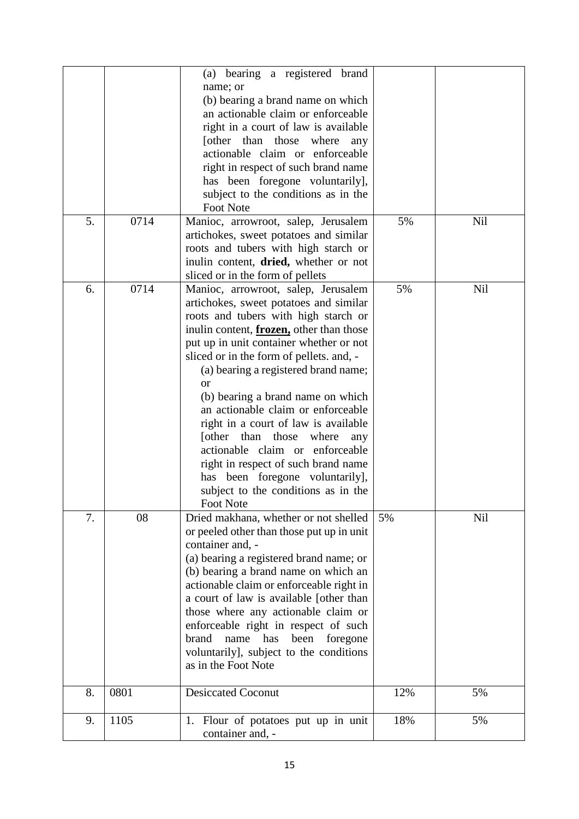|    |      | (a) bearing a registered brand<br>name; or<br>(b) bearing a brand name on which<br>an actionable claim or enforceable<br>right in a court of law is available<br>[other than those where<br>any<br>actionable claim or enforceable<br>right in respect of such brand name<br>has been foregone voluntarily],<br>subject to the conditions as in the<br><b>Foot Note</b>                                                                                                                                                                                                                                                                           |     |            |
|----|------|---------------------------------------------------------------------------------------------------------------------------------------------------------------------------------------------------------------------------------------------------------------------------------------------------------------------------------------------------------------------------------------------------------------------------------------------------------------------------------------------------------------------------------------------------------------------------------------------------------------------------------------------------|-----|------------|
| 5. | 0714 | Manioc, arrowroot, salep, Jerusalem<br>artichokes, sweet potatoes and similar<br>roots and tubers with high starch or<br>inulin content, dried, whether or not<br>sliced or in the form of pellets                                                                                                                                                                                                                                                                                                                                                                                                                                                | 5%  | <b>Nil</b> |
| 6. | 0714 | Manioc, arrowroot, salep, Jerusalem<br>artichokes, sweet potatoes and similar<br>roots and tubers with high starch or<br>inulin content, frozen, other than those<br>put up in unit container whether or not<br>sliced or in the form of pellets. and, -<br>(a) bearing a registered brand name;<br><sub>or</sub><br>(b) bearing a brand name on which<br>an actionable claim or enforceable<br>right in a court of law is available<br>[other than those<br>where<br>any<br>actionable claim or enforceable<br>right in respect of such brand name<br>has been foregone voluntarily],<br>subject to the conditions as in the<br><b>Foot Note</b> | 5%  | <b>Nil</b> |
| 7. | 08   | Dried makhana, whether or not shelled<br>or peeled other than those put up in unit<br>container and, -<br>(a) bearing a registered brand name; or<br>(b) bearing a brand name on which an<br>actionable claim or enforceable right in<br>a court of law is available [other than<br>those where any actionable claim or<br>enforceable right in respect of such<br>brand<br>been<br>foregone<br>name<br>has<br>voluntarily], subject to the conditions<br>as in the Foot Note                                                                                                                                                                     | 5%  | <b>Nil</b> |
| 8. | 0801 | <b>Desiccated Coconut</b>                                                                                                                                                                                                                                                                                                                                                                                                                                                                                                                                                                                                                         | 12% | 5%         |
| 9. | 1105 | Flour of potatoes put up in unit<br>1.<br>container and, -                                                                                                                                                                                                                                                                                                                                                                                                                                                                                                                                                                                        | 18% | 5%         |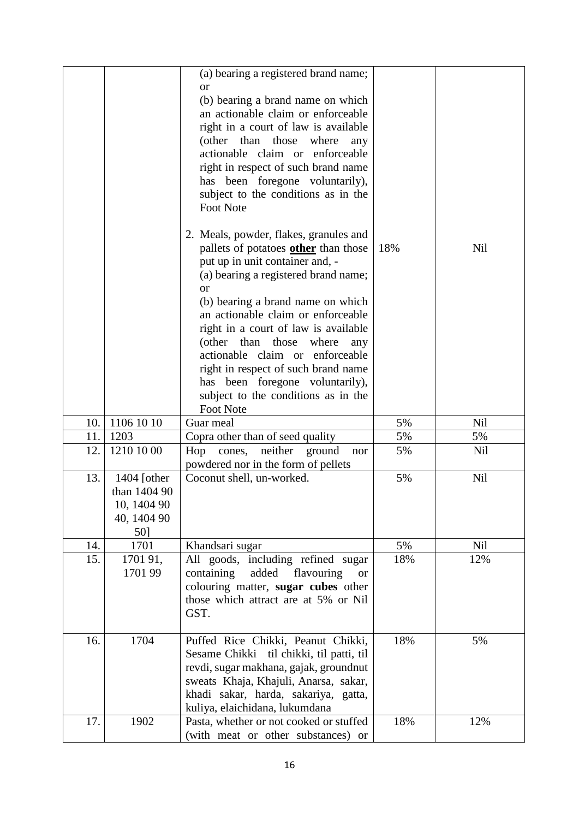|     |                             | (a) bearing a registered brand name;<br><b>or</b><br>(b) bearing a brand name on which<br>an actionable claim or enforceable<br>right in a court of law is available<br>(other than those<br>where<br>any<br>actionable claim or enforceable<br>right in respect of such brand name<br>has been foregone voluntarily),<br>subject to the conditions as in the<br><b>Foot Note</b><br>2. Meals, powder, flakes, granules and<br>pallets of potatoes other than those<br>put up in unit container and, -<br>(a) bearing a registered brand name;<br><sub>or</sub><br>(b) bearing a brand name on which | 18% | <b>Nil</b> |
|-----|-----------------------------|------------------------------------------------------------------------------------------------------------------------------------------------------------------------------------------------------------------------------------------------------------------------------------------------------------------------------------------------------------------------------------------------------------------------------------------------------------------------------------------------------------------------------------------------------------------------------------------------------|-----|------------|
|     |                             | an actionable claim or enforceable                                                                                                                                                                                                                                                                                                                                                                                                                                                                                                                                                                   |     |            |
|     |                             | right in a court of law is available<br>(other than those where<br>any                                                                                                                                                                                                                                                                                                                                                                                                                                                                                                                               |     |            |
|     |                             | actionable claim or enforceable                                                                                                                                                                                                                                                                                                                                                                                                                                                                                                                                                                      |     |            |
|     |                             | right in respect of such brand name<br>has been foregone voluntarily),                                                                                                                                                                                                                                                                                                                                                                                                                                                                                                                               |     |            |
|     |                             | subject to the conditions as in the                                                                                                                                                                                                                                                                                                                                                                                                                                                                                                                                                                  |     |            |
|     |                             | <b>Foot Note</b>                                                                                                                                                                                                                                                                                                                                                                                                                                                                                                                                                                                     |     |            |
| 10. | 1106 10 10                  | Guar meal                                                                                                                                                                                                                                                                                                                                                                                                                                                                                                                                                                                            | 5%  | <b>Nil</b> |
| 11. | 1203                        | Copra other than of seed quality                                                                                                                                                                                                                                                                                                                                                                                                                                                                                                                                                                     | 5%  | 5%         |
| 12. | 1210 10 00                  | neither<br>Hop<br>cones,<br>ground<br>nor<br>powdered nor in the form of pellets                                                                                                                                                                                                                                                                                                                                                                                                                                                                                                                     | 5%  | Nil        |
| 13. | 1404 [other                 | Coconut shell, un-worked.                                                                                                                                                                                                                                                                                                                                                                                                                                                                                                                                                                            | 5%  | <b>Nil</b> |
|     | than 1404 90<br>10, 1404 90 |                                                                                                                                                                                                                                                                                                                                                                                                                                                                                                                                                                                                      |     |            |
|     | 40, 1404 90                 |                                                                                                                                                                                                                                                                                                                                                                                                                                                                                                                                                                                                      |     |            |
|     | 50]                         |                                                                                                                                                                                                                                                                                                                                                                                                                                                                                                                                                                                                      |     |            |
| 14. | 1701                        | Khandsari sugar                                                                                                                                                                                                                                                                                                                                                                                                                                                                                                                                                                                      | 5%  | Nil        |
| 15. | 1701 91,                    | All goods, including refined sugar                                                                                                                                                                                                                                                                                                                                                                                                                                                                                                                                                                   | 18% | 12%        |
|     | 1701 99                     | containing<br>added<br>flavouring<br><b>or</b><br>colouring matter, sugar cubes other                                                                                                                                                                                                                                                                                                                                                                                                                                                                                                                |     |            |
|     |                             | those which attract are at 5% or Nil                                                                                                                                                                                                                                                                                                                                                                                                                                                                                                                                                                 |     |            |
|     |                             | GST.                                                                                                                                                                                                                                                                                                                                                                                                                                                                                                                                                                                                 |     |            |
| 16. | 1704                        | Puffed Rice Chikki, Peanut Chikki,                                                                                                                                                                                                                                                                                                                                                                                                                                                                                                                                                                   | 18% | 5%         |
|     |                             | Sesame Chikki til chikki, til patti, til                                                                                                                                                                                                                                                                                                                                                                                                                                                                                                                                                             |     |            |
|     |                             | revdi, sugar makhana, gajak, groundnut                                                                                                                                                                                                                                                                                                                                                                                                                                                                                                                                                               |     |            |
|     |                             | sweats Khaja, Khajuli, Anarsa, sakar,<br>khadi sakar, harda, sakariya, gatta,                                                                                                                                                                                                                                                                                                                                                                                                                                                                                                                        |     |            |
|     |                             | kuliya, elaichidana, lukumdana                                                                                                                                                                                                                                                                                                                                                                                                                                                                                                                                                                       |     |            |
| 17. | 1902                        | Pasta, whether or not cooked or stuffed                                                                                                                                                                                                                                                                                                                                                                                                                                                                                                                                                              | 18% | 12%        |
|     |                             | (with meat or other substances) or                                                                                                                                                                                                                                                                                                                                                                                                                                                                                                                                                                   |     |            |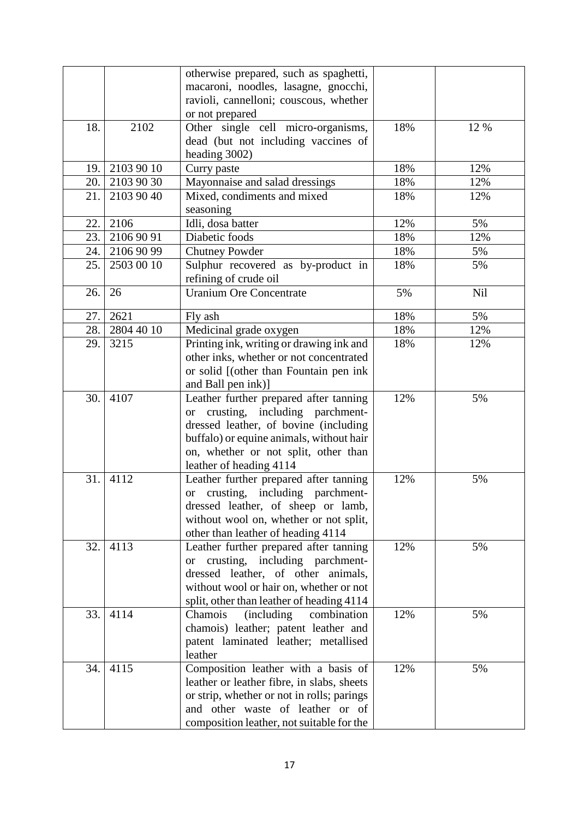|      |            | otherwise prepared, such as spaghetti,                                      |     |            |
|------|------------|-----------------------------------------------------------------------------|-----|------------|
|      |            | macaroni, noodles, lasagne, gnocchi,                                        |     |            |
|      |            | ravioli, cannelloni; couscous, whether                                      |     |            |
|      |            | or not prepared                                                             |     |            |
| 18.  | 2102       | Other single cell micro-organisms,                                          | 18% | 12 %       |
|      |            | dead (but not including vaccines of                                         |     |            |
|      |            | heading 3002)                                                               |     |            |
| 19.  | 2103 90 10 | Curry paste                                                                 | 18% | 12%        |
| 20.  | 2103 90 30 | Mayonnaise and salad dressings                                              | 18% | 12%        |
| 21.  | 2103 90 40 | Mixed, condiments and mixed                                                 | 18% | 12%        |
|      |            | seasoning                                                                   |     |            |
| 22.1 | 2106       | Idli, dosa batter                                                           | 12% | 5%         |
| 23.  | 2106 90 91 | Diabetic foods                                                              | 18% | 12%        |
| 24.  | 2106 90 99 | <b>Chutney Powder</b>                                                       | 18% | 5%         |
| 25.  | 2503 00 10 | Sulphur recovered as by-product in                                          | 18% | 5%         |
|      |            | refining of crude oil                                                       |     |            |
| 26.  | 26         | <b>Uranium Ore Concentrate</b>                                              | 5%  | <b>Nil</b> |
|      |            |                                                                             |     |            |
| 27.  | 2621       | Fly ash                                                                     | 18% | 5%         |
| 28.  | 2804 40 10 | Medicinal grade oxygen                                                      | 18% | 12%        |
| 29.  | 3215       | Printing ink, writing or drawing ink and                                    | 18% | 12%        |
|      |            | other inks, whether or not concentrated                                     |     |            |
|      |            | or solid [(other than Fountain pen ink                                      |     |            |
| 30.  | 4107       | and Ball pen ink)]                                                          | 12% | 5%         |
|      |            | Leather further prepared after tanning<br>or crusting, including parchment- |     |            |
|      |            | dressed leather, of bovine (including                                       |     |            |
|      |            | buffalo) or equine animals, without hair                                    |     |            |
|      |            | on, whether or not split, other than                                        |     |            |
|      |            | leather of heading 4114                                                     |     |            |
| 31.  | 4112       | Leather further prepared after tanning                                      | 12% | 5%         |
|      |            | or crusting, including parchment-                                           |     |            |
|      |            | dressed leather, of sheep or lamb,                                          |     |            |
|      |            | without wool on, whether or not split,                                      |     |            |
|      |            | other than leather of heading 4114                                          |     |            |
| 32.  | 4113       | Leather further prepared after tanning                                      | 12% | 5%         |
|      |            | or crusting, including parchment-                                           |     |            |
|      |            | dressed leather, of other animals,                                          |     |            |
|      |            | without wool or hair on, whether or not                                     |     |            |
|      |            | split, other than leather of heading 4114                                   |     |            |
| 33.  | 4114       | Chamois<br>(including)<br>combination                                       | 12% | 5%         |
|      |            | chamois) leather; patent leather and                                        |     |            |
|      |            | patent laminated leather; metallised                                        |     |            |
|      |            | leather                                                                     |     |            |
| 34.  | 4115       | Composition leather with a basis of                                         | 12% | 5%         |
|      |            | leather or leather fibre, in slabs, sheets                                  |     |            |
|      |            | or strip, whether or not in rolls; parings                                  |     |            |
|      |            | and other waste of leather or of                                            |     |            |
|      |            | composition leather, not suitable for the                                   |     |            |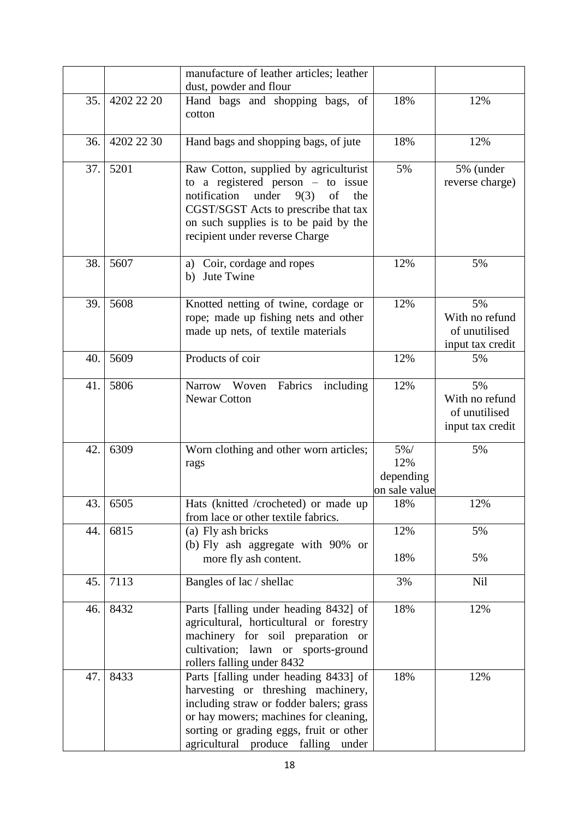|     |            | manufacture of leather articles; leather                                                                                                                                                                                                         |                                              |                                                           |
|-----|------------|--------------------------------------------------------------------------------------------------------------------------------------------------------------------------------------------------------------------------------------------------|----------------------------------------------|-----------------------------------------------------------|
| 35. | 4202 22 20 | dust, powder and flour<br>Hand bags and shopping bags, of                                                                                                                                                                                        | 18%                                          | 12%                                                       |
|     |            | cotton                                                                                                                                                                                                                                           |                                              |                                                           |
| 36. | 4202 22 30 | Hand bags and shopping bags, of jute                                                                                                                                                                                                             | 18%                                          | 12%                                                       |
| 37. | 5201       | Raw Cotton, supplied by agriculturist<br>to a registered person $-$ to issue<br>notification<br>under<br>9(3)<br>of<br>the<br>CGST/SGST Acts to prescribe that tax<br>on such supplies is to be paid by the<br>recipient under reverse Charge    | 5%                                           | 5% (under<br>reverse charge)                              |
| 38. | 5607       | a) Coir, cordage and ropes<br>Jute Twine<br>b)                                                                                                                                                                                                   | 12%                                          | 5%                                                        |
| 39. | 5608       | Knotted netting of twine, cordage or<br>rope; made up fishing nets and other<br>made up nets, of textile materials                                                                                                                               | 12%                                          | 5%<br>With no refund<br>of unutilised<br>input tax credit |
| 40. | 5609       | Products of coir                                                                                                                                                                                                                                 | 12%                                          | 5%                                                        |
| 41. | 5806       | Fabrics<br>Narrow Woven<br>including<br><b>Newar Cotton</b>                                                                                                                                                                                      | 12%                                          | 5%<br>With no refund<br>of unutilised<br>input tax credit |
| 42. | 6309       | Worn clothing and other worn articles;<br>rags                                                                                                                                                                                                   | $5\%$ /<br>12%<br>depending<br>on sale value | 5%                                                        |
| 43. | 6505       | Hats (knitted /crocheted) or made up<br>from lace or other textile fabrics.                                                                                                                                                                      | 18%                                          | 12%                                                       |
| 44. | 6815       | (a) Fly ash bricks<br>(b) Fly ash aggregate with 90% or<br>more fly ash content.                                                                                                                                                                 | 12%<br>18%                                   | 5%<br>5%                                                  |
| 45. | 7113       | Bangles of lac / shellac                                                                                                                                                                                                                         | 3%                                           | Nil                                                       |
| 46. | 8432       | Parts [falling under heading 8432] of<br>agricultural, horticultural or forestry<br>machinery for soil preparation or<br>cultivation; lawn or sports-ground<br>rollers falling under 8432                                                        | 18%                                          | 12%                                                       |
| 47. | 8433       | Parts [falling under heading 8433] of<br>harvesting or threshing machinery,<br>including straw or fodder balers; grass<br>or hay mowers; machines for cleaning,<br>sorting or grading eggs, fruit or other<br>agricultural produce falling under | 18%                                          | 12%                                                       |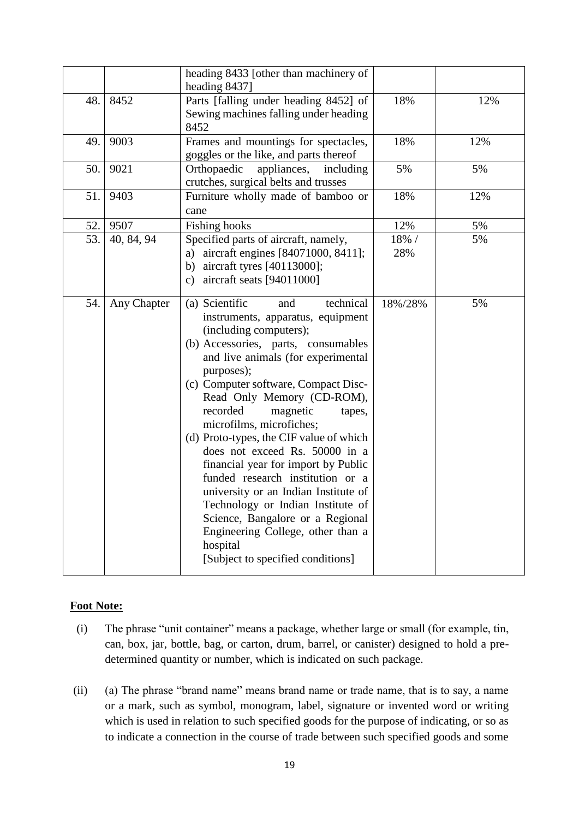|     |             | heading 8433 [other than machinery of<br>heading 8437]                                                                                                                                                                                                                                                                                                                                                                                                                                                                                                                                                                                                                                          |              |     |
|-----|-------------|-------------------------------------------------------------------------------------------------------------------------------------------------------------------------------------------------------------------------------------------------------------------------------------------------------------------------------------------------------------------------------------------------------------------------------------------------------------------------------------------------------------------------------------------------------------------------------------------------------------------------------------------------------------------------------------------------|--------------|-----|
| 48. | 8452        | Parts [falling under heading 8452] of<br>Sewing machines falling under heading<br>8452                                                                                                                                                                                                                                                                                                                                                                                                                                                                                                                                                                                                          | 18%          | 12% |
| 49. | 9003        | Frames and mountings for spectacles,<br>goggles or the like, and parts thereof                                                                                                                                                                                                                                                                                                                                                                                                                                                                                                                                                                                                                  | 18%          | 12% |
| 50. | 9021        | Orthopaedic<br>appliances,<br>including<br>crutches, surgical belts and trusses                                                                                                                                                                                                                                                                                                                                                                                                                                                                                                                                                                                                                 | 5%           | 5%  |
| 51. | 9403        | Furniture wholly made of bamboo or<br>cane                                                                                                                                                                                                                                                                                                                                                                                                                                                                                                                                                                                                                                                      | 18%          | 12% |
| 52. | 9507        | <b>Fishing hooks</b>                                                                                                                                                                                                                                                                                                                                                                                                                                                                                                                                                                                                                                                                            | 12%          | 5%  |
| 53. | 40, 84, 94  | Specified parts of aircraft, namely,<br>a) aircraft engines [84071000, 8411];<br>b) aircraft tyres $[40113000]$ ;<br>c) aircraft seats $[94011000]$                                                                                                                                                                                                                                                                                                                                                                                                                                                                                                                                             | 18% /<br>28% | 5%  |
| 54. | Any Chapter | (a) Scientific<br>technical<br>and<br>instruments, apparatus, equipment<br>(including computers);<br>(b) Accessories, parts, consumables<br>and live animals (for experimental<br>purposes);<br>(c) Computer software, Compact Disc-<br>Read Only Memory (CD-ROM),<br>recorded<br>magnetic<br>tapes,<br>microfilms, microfiches;<br>(d) Proto-types, the CIF value of which<br>does not exceed Rs. 50000 in a<br>financial year for import by Public<br>funded research institution or a<br>university or an Indian Institute of<br>Technology or Indian Institute of<br>Science, Bangalore or a Regional<br>Engineering College, other than a<br>hospital<br>[Subject to specified conditions] | 18%/28%      | 5%  |

#### **Foot Note:**

- (i) The phrase "unit container" means a package, whether large or small (for example, tin, can, box, jar, bottle, bag, or carton, drum, barrel, or canister) designed to hold a predetermined quantity or number, which is indicated on such package.
- (ii) (a) The phrase "brand name" means brand name or trade name, that is to say, a name or a mark, such as symbol, monogram, label, signature or invented word or writing which is used in relation to such specified goods for the purpose of indicating, or so as to indicate a connection in the course of trade between such specified goods and some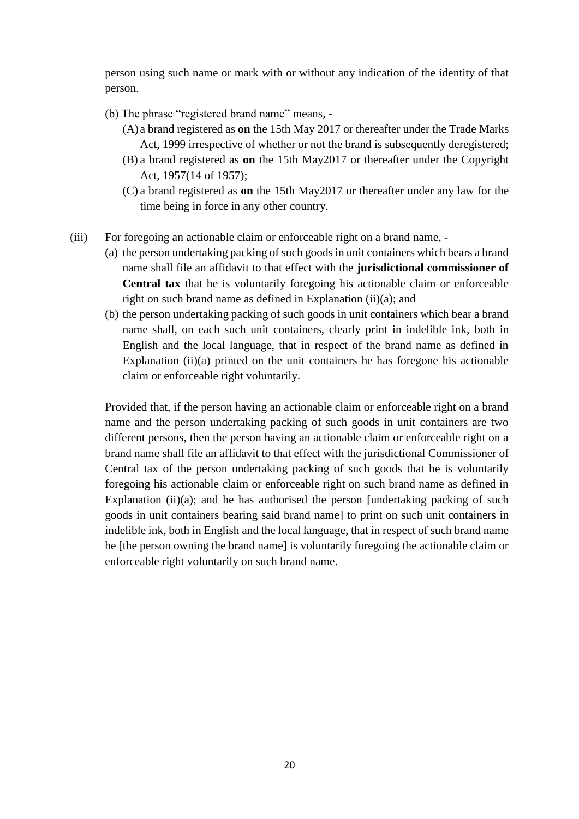person using such name or mark with or without any indication of the identity of that person.

- (b) The phrase "registered brand name" means,
	- (A) a brand registered as **on** the 15th May 2017 or thereafter under the Trade Marks Act, 1999 irrespective of whether or not the brand is subsequently deregistered;
	- (B) a brand registered as **on** the 15th May2017 or thereafter under the Copyright Act, 1957(14 of 1957);
	- (C) a brand registered as **on** the 15th May2017 or thereafter under any law for the time being in force in any other country.
- (iii) For foregoing an actionable claim or enforceable right on a brand name,
	- (a) the person undertaking packing of such goods in unit containers which bears a brand name shall file an affidavit to that effect with the **jurisdictional commissioner of Central tax** that he is voluntarily foregoing his actionable claim or enforceable right on such brand name as defined in Explanation (ii)(a); and
	- (b) the person undertaking packing of such goods in unit containers which bear a brand name shall, on each such unit containers, clearly print in indelible ink, both in English and the local language, that in respect of the brand name as defined in Explanation  $(ii)(a)$  printed on the unit containers he has foregone his actionable claim or enforceable right voluntarily.

Provided that, if the person having an actionable claim or enforceable right on a brand name and the person undertaking packing of such goods in unit containers are two different persons, then the person having an actionable claim or enforceable right on a brand name shall file an affidavit to that effect with the jurisdictional Commissioner of Central tax of the person undertaking packing of such goods that he is voluntarily foregoing his actionable claim or enforceable right on such brand name as defined in Explanation (ii)(a); and he has authorised the person [undertaking packing of such goods in unit containers bearing said brand name] to print on such unit containers in indelible ink, both in English and the local language, that in respect of such brand name he [the person owning the brand name] is voluntarily foregoing the actionable claim or enforceable right voluntarily on such brand name.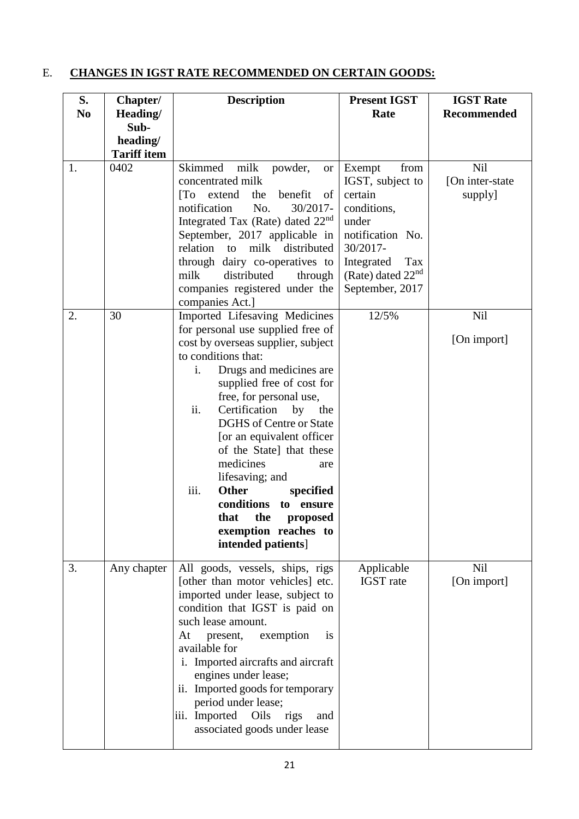# E. **CHANGES IN IGST RATE RECOMMENDED ON CERTAIN GOODS:**

| S.<br>N <sub>0</sub> | Chapter/<br>Heading/                   | <b>Description</b>                                                                                                                                                                                                                                                                                                                                                                                                                                                                                                                          | <b>Present IGST</b><br>Rate                                                                                                                                                    | <b>IGST Rate</b><br><b>Recommended</b>    |
|----------------------|----------------------------------------|---------------------------------------------------------------------------------------------------------------------------------------------------------------------------------------------------------------------------------------------------------------------------------------------------------------------------------------------------------------------------------------------------------------------------------------------------------------------------------------------------------------------------------------------|--------------------------------------------------------------------------------------------------------------------------------------------------------------------------------|-------------------------------------------|
|                      | Sub-<br>heading/<br><b>Tariff item</b> |                                                                                                                                                                                                                                                                                                                                                                                                                                                                                                                                             |                                                                                                                                                                                |                                           |
| 1.                   | 0402                                   | milk<br>Skimmed<br>powder,<br><b>or</b><br>concentrated milk<br>benefit<br>$\overline{a}$<br>extend<br>the<br>of<br>No.<br>30/2017-<br>notification<br>Integrated Tax (Rate) dated 22 <sup>nd</sup><br>September, 2017 applicable in<br>distributed<br>relation<br>milk<br>to<br>through dairy co-operatives to<br>milk<br>distributed<br>through<br>companies registered under the<br>companies Act.]                                                                                                                                      | Exempt<br>from<br>IGST, subject to<br>certain<br>conditions,<br>under<br>notification No.<br>30/2017-<br>Integrated<br>Tax<br>(Rate) dated 22 <sup>nd</sup><br>September, 2017 | <b>Nil</b><br>[On inter-state]<br>supply] |
| 2.                   | 30                                     | Imported Lifesaving Medicines<br>for personal use supplied free of<br>cost by overseas supplier, subject<br>to conditions that:<br>Drugs and medicines are<br>i.<br>supplied free of cost for<br>free, for personal use,<br>ii.<br>Certification<br>by<br>the<br><b>DGHS</b> of Centre or State<br>[or an equivalent officer<br>of the State] that these<br>medicines<br>are<br>lifesaving; and<br><b>Other</b><br>iii.<br>specified<br>conditions<br>to<br>ensure<br>the<br>that<br>proposed<br>exemption reaches to<br>intended patients] | 12/5%                                                                                                                                                                          | <b>Nil</b><br>[On import]                 |
| 3.                   | Any chapter                            | All goods, vessels, ships, rigs<br>[other than motor vehicles] etc.<br>imported under lease, subject to<br>condition that IGST is paid on<br>such lease amount.<br>present,<br>exemption<br>At<br>is<br>available for<br>i. Imported aircrafts and aircraft<br>engines under lease;<br>ii. Imported goods for temporary<br>period under lease;<br>iii. Imported<br>Oils<br>rigs<br>and<br>associated goods under lease                                                                                                                      | Applicable<br><b>IGST</b> rate                                                                                                                                                 | <b>Nil</b><br>[On import]                 |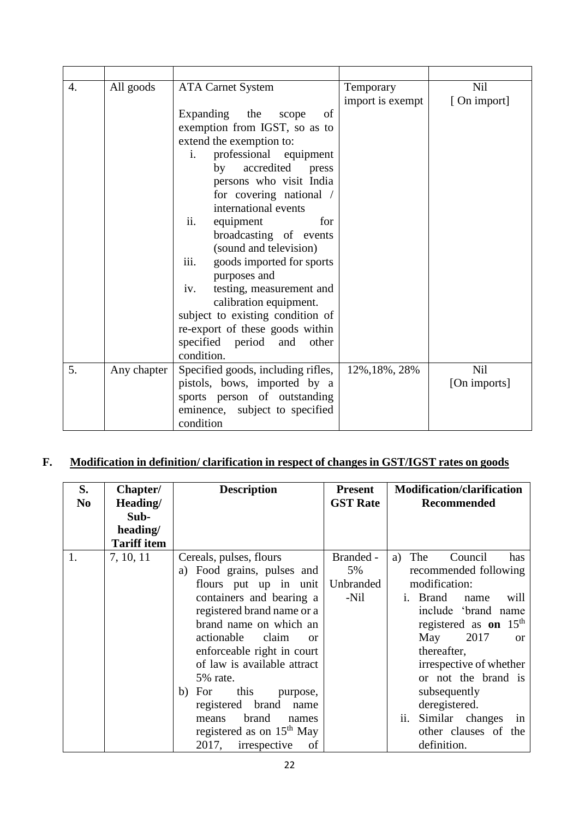| 4. | All goods   | <b>ATA Carnet System</b>           | Temporary        | Nil          |
|----|-------------|------------------------------------|------------------|--------------|
|    |             |                                    | import is exempt | [On import]  |
|    |             | Expanding<br>the<br>of<br>scope    |                  |              |
|    |             | exemption from IGST, so as to      |                  |              |
|    |             | extend the exemption to:           |                  |              |
|    |             | professional equipment<br>$i$ .    |                  |              |
|    |             | accredited press<br>by             |                  |              |
|    |             | persons who visit India            |                  |              |
|    |             | for covering national /            |                  |              |
|    |             | international events               |                  |              |
|    |             | equipment<br>for<br>ii.            |                  |              |
|    |             | broadcasting of events             |                  |              |
|    |             | (sound and television)             |                  |              |
|    |             | iii.<br>goods imported for sports  |                  |              |
|    |             | purposes and                       |                  |              |
|    |             | testing, measurement and<br>iv.    |                  |              |
|    |             | calibration equipment.             |                  |              |
|    |             | subject to existing condition of   |                  |              |
|    |             | re-export of these goods within    |                  |              |
|    |             | specified period and other         |                  |              |
|    |             | condition.                         |                  |              |
| 5. | Any chapter | Specified goods, including rifles, | 12%, 18%, 28%    | Nil          |
|    |             | pistols, bows, imported by a       |                  | [On imports] |
|    |             | sports person of outstanding       |                  |              |
|    |             | eminence, subject to specified     |                  |              |
|    |             | condition                          |                  |              |

# **F. Modification in definition/ clarification in respect of changes in GST/IGST rates on goods**

| S.<br>N <sub>0</sub> | Chapter/<br>Heading/ | <b>Description</b>            | <b>Present</b><br><b>GST Rate</b> | <b>Modification/clarification</b><br>Recommended |
|----------------------|----------------------|-------------------------------|-----------------------------------|--------------------------------------------------|
|                      | Sub-<br>heading/     |                               |                                   |                                                  |
|                      | <b>Tariff item</b>   |                               |                                   |                                                  |
|                      |                      |                               |                                   |                                                  |
| 1.                   | 7, 10, 11            | Cereals, pulses, flours       | Branded -                         | The<br>Council<br>has<br>a)                      |
|                      |                      | Food grains, pulses and<br>a) | 5%                                | recommended following                            |
|                      |                      | flours put up in unit         | Unbranded                         | modification:                                    |
|                      |                      | containers and bearing a      | -Nil                              | will<br><b>Brand</b><br>name<br>$\mathbf{1}$ .   |
|                      |                      | registered brand name or a    |                                   | include 'brand name                              |
|                      |                      | brand name on which an        |                                   | registered as <b>on</b> $15th$                   |
|                      |                      | actionable<br>claim<br>or     |                                   | 2017<br>May<br><sub>or</sub>                     |
|                      |                      | enforceable right in court    |                                   | thereafter,                                      |
|                      |                      | of law is available attract   |                                   | irrespective of whether                          |
|                      |                      | 5% rate.                      |                                   | or not the brand is                              |
|                      |                      | this<br>b) For<br>purpose,    |                                   | subsequently                                     |
|                      |                      | registered brand<br>name      |                                   | deregistered.                                    |
|                      |                      | brand<br>means<br>names       |                                   | ii.<br>Similar changes<br>in                     |
|                      |                      | registered as on $15th$ May   |                                   | other clauses of the                             |
|                      |                      | irrespective<br>2017,<br>of   |                                   | definition.                                      |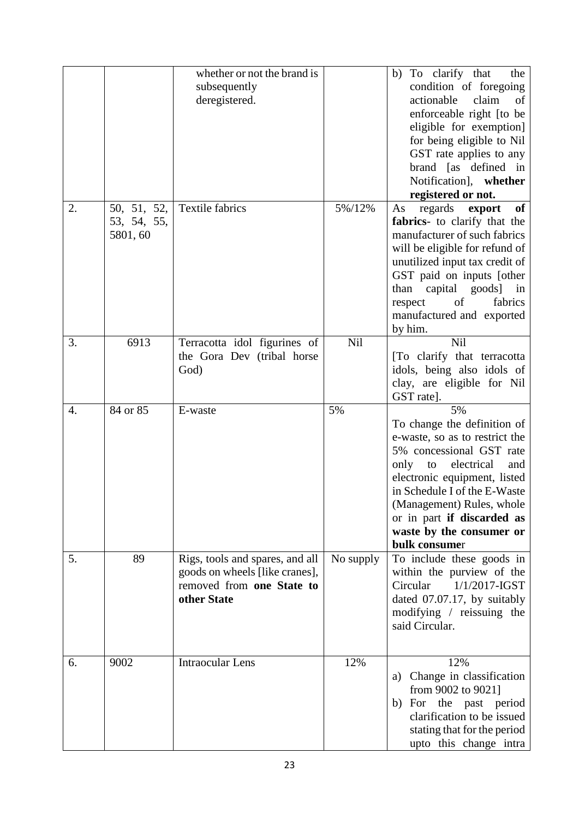|    |                                        | whether or not the brand is<br>subsequently<br>deregistered.                                                  |           | To clarify that<br>b)<br>the<br>condition of foregoing<br>actionable<br>claim<br>of<br>enforceable right [to be<br>eligible for exemption]<br>for being eligible to Nil<br>GST rate applies to any<br>brand [as defined in<br>Notification], whether<br>registered or not.                                 |
|----|----------------------------------------|---------------------------------------------------------------------------------------------------------------|-----------|------------------------------------------------------------------------------------------------------------------------------------------------------------------------------------------------------------------------------------------------------------------------------------------------------------|
| 2. | 50, 51, 52,<br>53, 54, 55,<br>5801, 60 | <b>Textile fabrics</b>                                                                                        | 5%/12%    | regards<br>export<br>of<br>As<br>fabrics- to clarify that the<br>manufacturer of such fabrics<br>will be eligible for refund of<br>unutilized input tax credit of<br>GST paid on inputs [other<br>than<br>capital goods] in<br>of<br>fabrics<br>respect<br>manufactured and exported<br>by him.            |
| 3. | 6913                                   | Terracotta idol figurines of<br>the Gora Dev (tribal horse<br>God)                                            | Nil       | Nil<br>[To clarify that terracotta<br>idols, being also idols of<br>clay, are eligible for Nil<br>GST rate].                                                                                                                                                                                               |
| 4. | 84 or 85                               | E-waste                                                                                                       | 5%        | 5%<br>To change the definition of<br>e-waste, so as to restrict the<br>5% concessional GST rate<br>only<br>electrical<br>to<br>and<br>electronic equipment, listed<br>in Schedule I of the E-Waste<br>(Management) Rules, whole<br>or in part if discarded as<br>waste by the consumer or<br>bulk consumer |
| 5. | 89                                     | Rigs, tools and spares, and all<br>goods on wheels [like cranes],<br>removed from one State to<br>other State | No supply | To include these goods in<br>within the purview of the<br>$1/1/2017$ -IGST<br>Circular<br>dated 07.07.17, by suitably<br>modifying / reissuing the<br>said Circular.                                                                                                                                       |
| 6. | 9002                                   | <b>Intraocular Lens</b>                                                                                       | 12%       | 12%<br>a) Change in classification<br>from 9002 to 9021]<br>b) For the past period<br>clarification to be issued<br>stating that for the period<br>upto this change intra                                                                                                                                  |